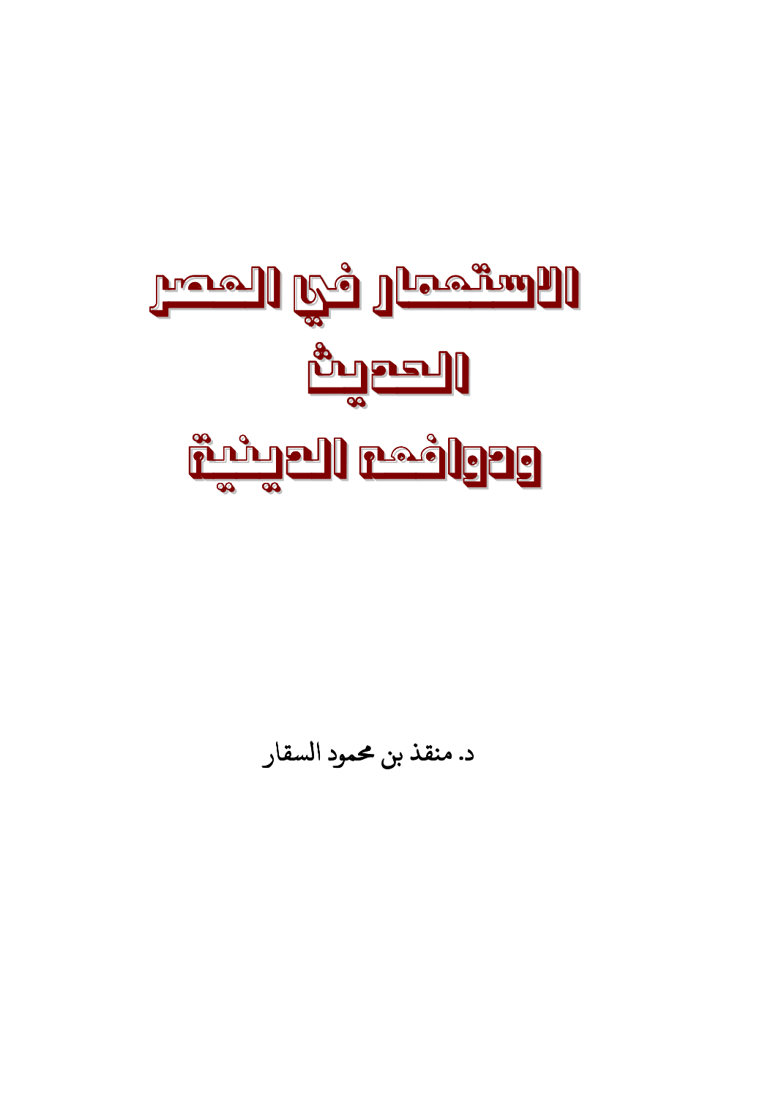

د. منقذ بن محمود السقار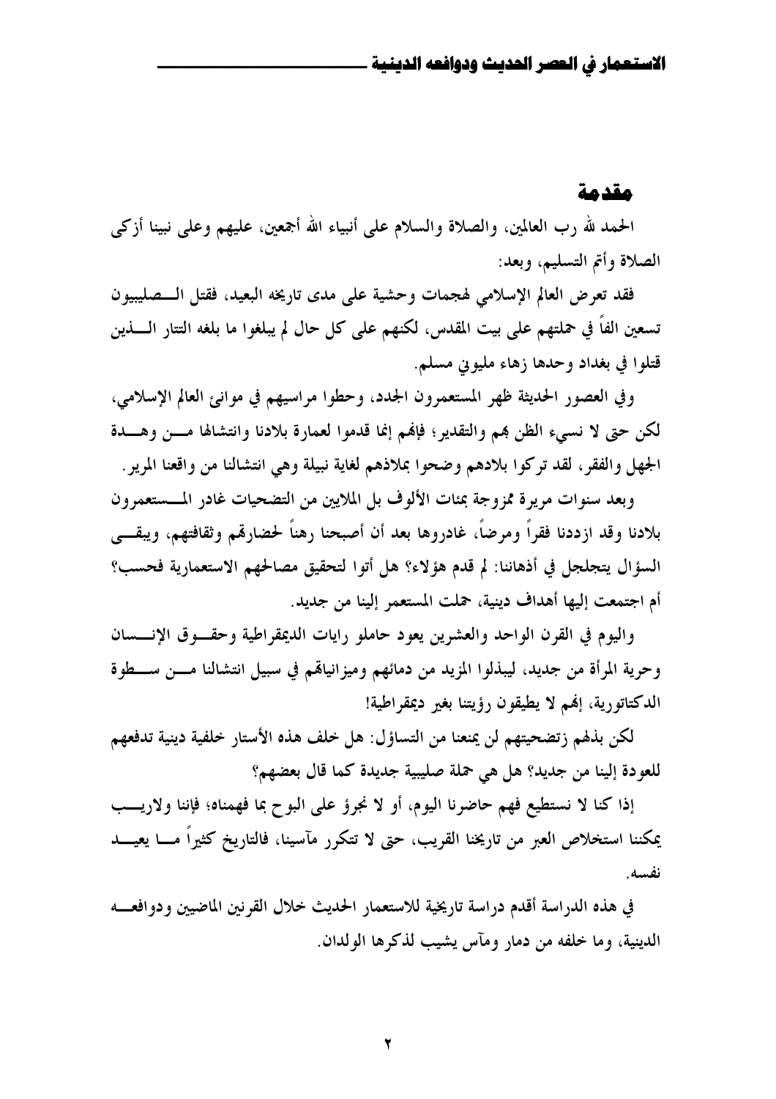#### مقدمة

الحمد لله رب العالمين، والصلاة والسلام على أنبياء الله أجمعين، عليهم وعلى نبينا أزكى الصلاة وأتم التسليم، وبعد:

فقد تعرض العالم الإسلامي لهجمات وحشية على مدى تاريخه البعيد، فقتل الـــصليبيون تسعين الفاً في حملتهم على بيت المقدس، لكنهم على كل حال لم يبلغوا ما بلغه التتار الـــــذين قتلوا في بغداد وحدها زهاء مليوين مسلم.

وفي العصور الحديثة ظهر المستعمرون الجدد، وحطوا مراسيهم في موانئ العالم الإسلامي، لكن حتى لا نسيء الظن هم والتقدير؛ فإلهم إنما قدموا لعمارة بلادنا وانتشالها مسن وهسدة الجهل والفقر ، لقد تركوا بلادهم وضحوا بملاذهم لغاية نبيلة وهي انتشالنا من واقعنا المرير .

وبعد سنوات مريرة ممزوجة بمئات الألوف بل الملايين من التضحيات غادر المسستعمرون بلادنا وقد ازددنا فقراً ومرضاً، غادروها بعد أن أصبحنا رهناً لحضارقم وثقافتهم، ويبقـــي السؤال يتجلجل في أذهاننا: لم قدم هؤلاء؟ هل أتوا لتحقيق مصالحهم الاستعمارية فحسب؟ أم اجتمعت إليها أهداف دينية، حملت المستعمر إلينا من جديد.

واليوم في القرن الواحد والعشرين يعود حاملو رايات الديمقراطية وحقسوق الإنسسان وحرية المرأة من جديد، ليبذلوا المزيد من دمائهم وميزانياهم في سبيل انتشالنا مـــن ســـطوة الدكتاتورية، إفمم لا يطيقون رؤيتنا بغير ديمقراطية!

لكن بذهم زتضحيتهم لن يمنعنا من التساؤل: هل خلف هذه الأستار خلفية دينية تدفعهم للعودة إلينا من جديد؟ هل هي حملة صليبية جديدة كما قال بعضهم؟

إذا كنا لا نستطيع فهم حاضرنا اليوم، أو لا نجروً على البوح بما فهمناه؛ فإننا ولاريب يمكننا استخلاص العبر من تاريخنا القريب، حتى لا تتكرر مآسينا، فالتاريخ كثيراً مــــا يعيـــــد نفسه.

في هذه الدراسة أقدم دراسة تاريخية للاستعمار الحديث خلال القرنين الماضيين ودوافعــه الدينية، وما خلفه من دمار ومآس يشيب لذكرها الولدان.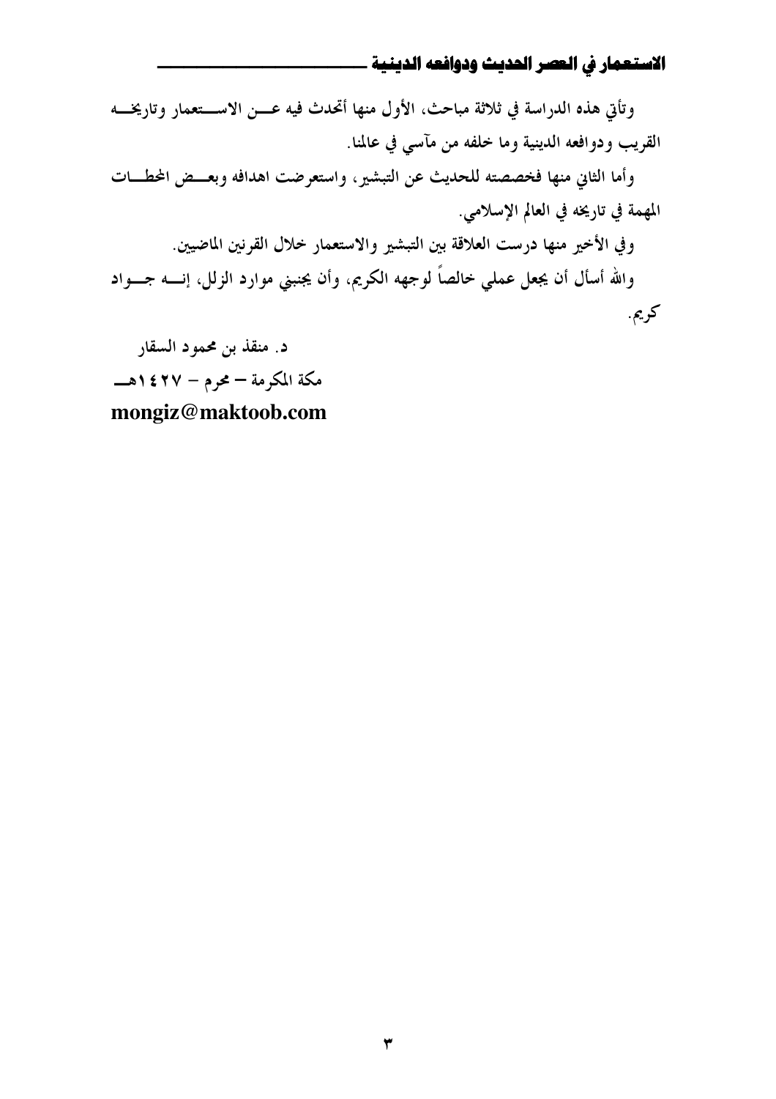وتأتي هذه الدراسة في ثلاثة مباحث، الأول منها أتحدث فيه عـــن الاســـتعمار وتاريخـــه القريب ودوافعه الدينية وما خلفه من مآسى في عالمنا. وأما الثاني منها فخصصته للحديث عن التبشير، واستعرضت اهدافه وبعــض المحطــات المهمة في تاريخه في العالم الإسلامي. وفي الأخير منها درست العلاقة بين التبشير والاستعمار خلال القرنين الماضيين. والله أسأل أن يجعل عملي خالصاً لوجهه الكريم، وأن يجنبني موارد الزلل، إنــــه جــــواد کريم. د. منقذ بن محمود السقار

مكة المكرمة – محرم – ٢٧ ٢٤ هـ mongiz@maktoob.com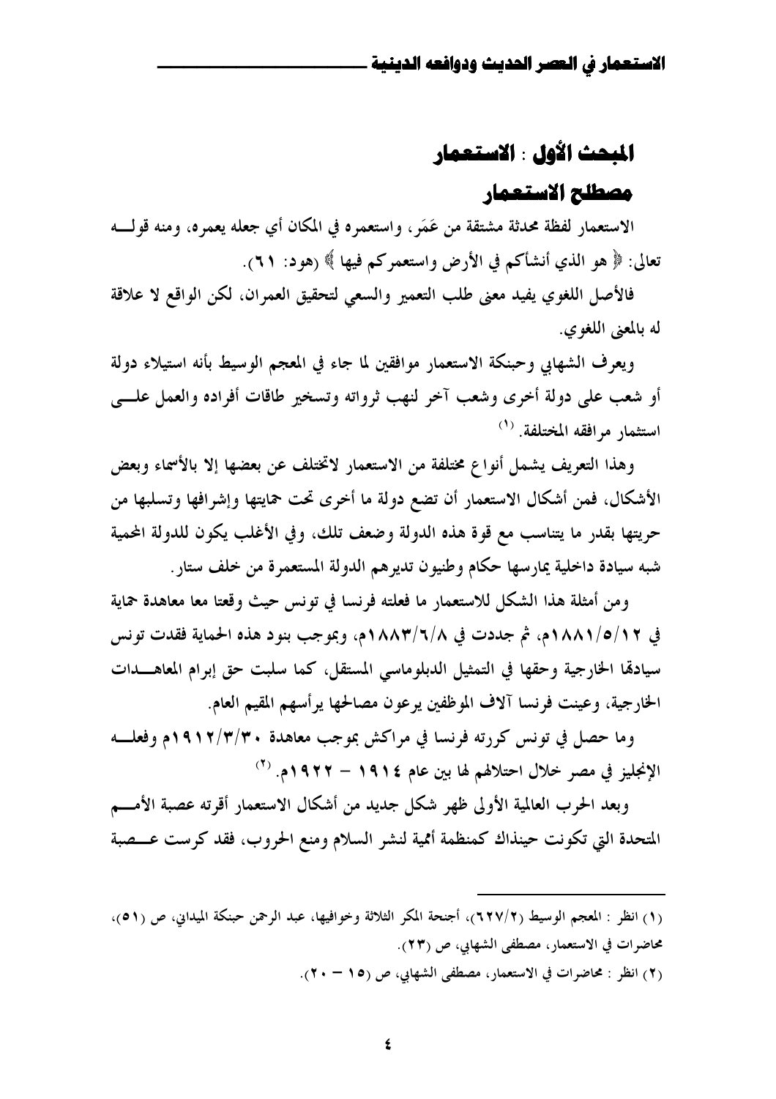# المبحث الأول : الاستعمار

# مصطلح الاستعمار

الاستعمار لفظة محدثة مشتقة من عَمَرٍ ، واستعمره في المكان أي جعله يعمره، ومنه قولـــه تعالى: ﴿ هُو الَّذِي أَنشأَكُمْ فِي الأَرْضِ واستعمرِكُمْ فِيهَا ﴾ (هُود: ٦١).

فالأصل اللغوي يفيد معنى طلب التعمير والسعى لتحقيق العمران، لكن الواقع لا علاقة له بالمعنى اللغوي.

ويعرف الشهابي وحبنكة الاستعمار موافقين لما جاء في المعجم الوسيط بأنه استيلاء دولة أو شعب على دولة أخرى وشعب آخر لنهب ثرواته وتسخير طاقات أفراده والعمل علسى استثمار مرافقه المختلفة. (<sup>١)</sup>

وهذا التعريف يشمل أنواع مختلفة من الاستعمار لاتختلف عن بعضها إلا بالأسماء وبعض الأشكال، فمن أشكال الاستعمار أن تضع دولة ما أخرى تحت حمايتها وإشرافها وتسلبها من حريتها بقدر ما يتناسب مع قوة هذه الدولة وضعف تلك، وفي الأغلب يكون للدولة المحمية شبه سيادة داخلية يمارسها حكام وطنيون تديرهم الدولة المستعمرة من خلف ستار .

ومن أمثلة هذا الشكل للاستعمار ما فعلته فرنسا في تونس حيث وقعتا معا معاهدة حماية في ١٨/٥/١/١/م، ثم جددت في ٨/٦/٦/٨ ٥م، وبموجب بنود هذه الحماية فقدت تونس سيادها الخارجية وحقها في التمثيل الدبلوماسي المستقل، كما سلبت حق إبرام المعاهــدات الخارجية، وعينت فرنسا آلاف الموظفين يرعون مصالحها يرأسهم المقيم العام.

وما حصل في تونس كررته فرنسا في مراكش بموجب معاهدة ٣/٣/٣٠١م وفعلـــه الإنجليز في مصر خلال احتلالهم لها بين عام ١٩١٤ – ١٩٢٢م. <sup>(٢)</sup>

وبعد الحرب العالمية الأولى ظهر شكل جديد من أشكال الاستعمار أقرته عصبة الأمـــم المتحدة التي تكونت حينذاك كمنظمة أممية لنشر السلام ومنع الحروب، فقد كرست عــصبة

(٢) انظر : محاضرات في الاستعمار، مصطفى الشهابي، ص (١٥ – ٢٠).

<sup>(</sup>١) انظر : المعجم الوسيط (٢/٧/٢)، أجنحة المكر الثلاثة وخوافيها، عبد الرحمن حبنكة الميداني، ص (٥١)، محاضرات في الاستعمار، مصطفى الشهابي، ص (٢٣).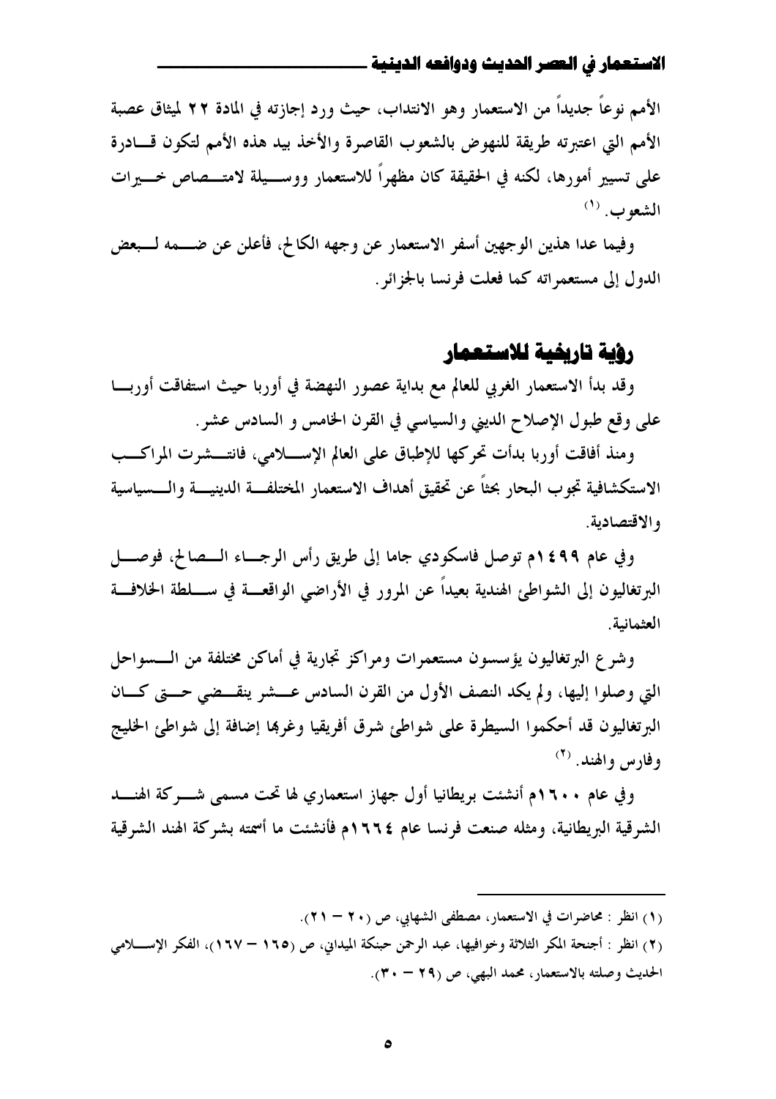الأمم نوعًا جديداً من الاستعمار وهو الانتداب، حيث ورد إجازته في المادة ٢٢ لميثاق عصبة الأمم التي اعتبرته طريقة للنهوض بالشعوب القاصرة والأخذ بيد هذه الأمم لتكون قسادرة على تسيير أمورها، لكنه في الحقيقة كان مظهراً للاستعمار ووســـيلة لامتـــصاص خـــيرات  $^{(1)}$ . الشعو ب

وفيما عدا هذين الوجهين أسفر الاستعمار عن وجهه الكالح، فأعلن عن ضـــمه لـــبعض الدول إلى مستعمراته كما فعلت فرنسا بالجزائر .

# رؤية تاريفية للاستعمار

وقد بدأ الاستعمار الغربي للعالم مع بداية عصور النهضة في أوربا حيث استفاقت أوربـــا على وقع طبول الإصلاح الديني والسياسي في القرن الخامس و السادس عشر .

ومنذ أفاقت أوربا بدأت تحركها للإطباق على العالم الإســــلامي، فانتـــشرت المراكـــب الاستكشافية تجوب البحار بحثاً عن تحقيق أهداف الاستعمار المختلفـــة الدينيــــة والــــسياسية والاقتصادية.

وفي عام ١٤٩٩م توصل فاسكودي جاما إلى طريق رأس الرجــاء الـــصالح، فوصــــل البرتغاليون إلى الشواطئ الهندية بعيداً عن المرور في الأراضي الواقعـــة في ســــلطة الخلافـــة العثمانية.

وشرع البرتغاليون يؤسسون مستعمرات ومراكز تجارية في أماكن مختلفة من الـــسواحل التي وصلوا إليها، ولم يكد النصف الأول من القرن السادس عـــشر ينقـــضي حـــتي كـــان البرتغاليون قد أحكموا السيطرة على شواطئ شرق أفريقيا وغرها إضافة إلى شواطئ الخليج وفارس والهند. (<sup>٢)</sup>

وفي عام ١٦٠٠م أنشئت بريطانيا أول جهاز استعماري لها تحت مسمى شــــركة الهنــــد الشرقية البريطانية، ومثله صنعت فرنسا عام ١٦٦٤م فأنشئت ما أسمته بشركة الهند الشرقية

- (١) انظر : محاضرات في الاستعمار، مصطفى الشهابي، ص (٢٠ ٢١).
- (٢) انظر : أجنحة المكر الثلاثة وخوافيها، عبد الرحمن حبنكة الميداني، ص (١٦٥ ١٦٧)، الفكر الإسللامي الحديث وصلته بالاستعمار، محمد البهي، ص (٢٩ – ٣٠).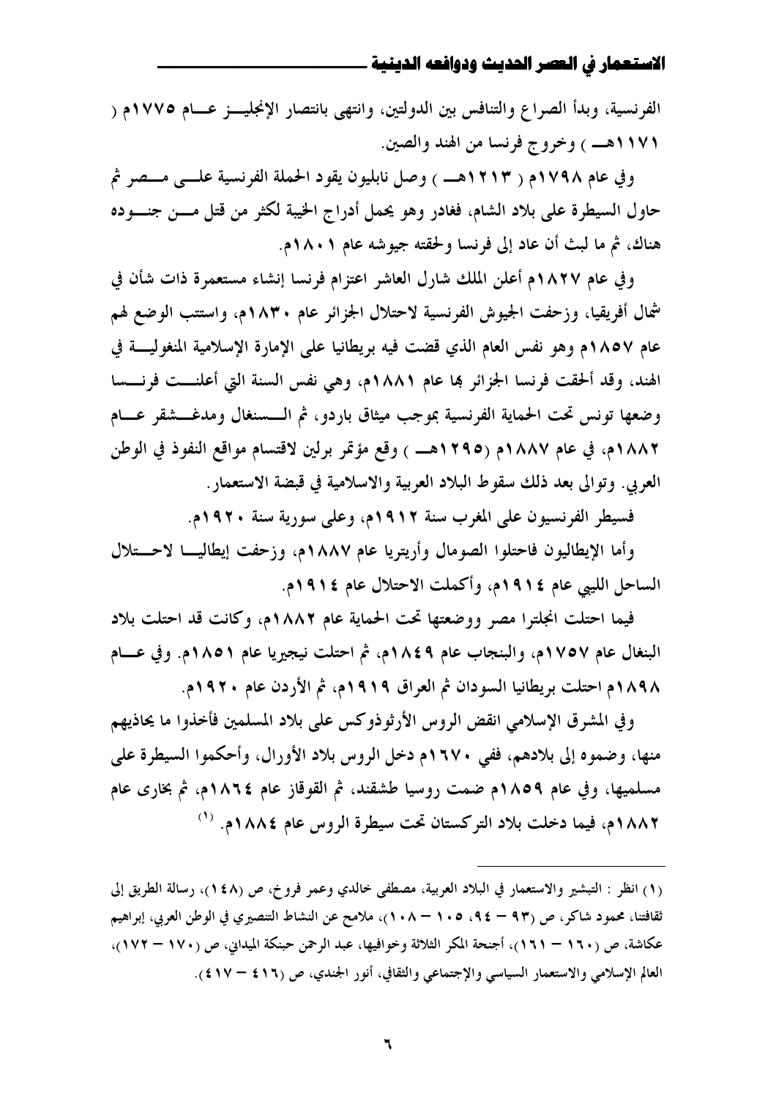الفرنسية، وبدأ الصراع والتنافس بين الدولتين، وانتهى بانتصار الإنجليــز عــام ١٧٧٥م ( ١١٧١هــ ) وخروج فرنسا من الهند والصين.

وفي عام ١٧٩٨م ( ١٢١٣هـــ ) وصل نابليون يقود الحملة الفرنسية علـــى مــصر ثم حاول السيطرة على بلاد الشام، فغادر وهو يحمل أدراج الخيبة لكثر من قتل مسن جنسوده هناك، ثم ما لبث أن عاد إلى فرنسا ولحقته جيوشه عام ١٨٠١م.

وفي عام ١٨٢٧م أعلن الملك شارل العاشر اعتزام فرنسا إنشاء مستعمرة ذات شأن في شمال أفريقيا، وزحفت الجيوش الفرنسية لاحتلال الجزائر عام ١٨٣٠م، واستتب الوضع لهم عام ١٨٥٧م وهو نفس العام الذي قضت فيه بريطانيا على الإمارة الإسلامية المنغوليــــة في الهند، وقد ألحقت فرنسا الجزائر ها عام ١٨٨١م، وهي نفس السنة التي أعلنـــت فرنـــسا وضعها تونس تحت الحماية الفرنسية بموجب ميثاق باردو، ثم الـــسنغال ومدغـــشقر عـــام ١٨٨٢م، في عام ١٨٨٧م (١٢٩٥هـــ ) وقع مؤتمر برلين لاقتسام مواقع النفوذ في الوطن العربي. وتوالي بعد ذلك سقوط البلاد العربية والاسلامية في قبضة الاستعمار.

فسيطر الفرنسيون على المغرب سنة ١٩١٢م، وعلى سورية سنة ١٩٢٠م.

وأما الإيطاليون فاحتلوا الصومال وأريتريا عام ١٨٨٧م، وزحفت إيطاليــا لاحـــتلال الساحل الليبي عام ١٩١٤م، وأكملت الاحتلال عام ١٩١٤م.

فيما احتلت انجلترا مصر ووضعتها تحت الحماية عام ١٨٨٢م، وكانت قد احتلت بلاد البنغال عام ١٧٥٧م، والبنجاب عام ١٨٤٩م، ثم احتلت نيجيريا عام ١٨٥١م. وفي عـــام ١٨٩٨م احتلت بريطانيا السودان ثم العراق ١٩١٩م، ثم الأردن عام ١٩٢٠م.

و في المشرق الإسلامي انقض الروس الأرثوذوكس على بلاد المسلمين فأخذوا ما يحاذيهم منها، وضموه إلى بلادهم، ففي ١٦٧٠م دخل الروس بلاد الأورال، وأحكموا السيطرة على مسلميها، وفي عام ١٨٥٩م ضمت روسيا طشقند، ثم القوقاز عام ١٨٦٤م، ثم بخارى عام ١٨٨٢م، فيما دخلت بلاد التركستان تحت سيطرة الروس عام ١٨٨٤م. (١)

<sup>(</sup>١) انظر : التبشير والاستعمار في البلاد العربية، مصطفى خالدي وعمر فروخ، ص (١٤٨)، رسالة الطريق إلى ثقافتنا، محمود شاكر، ص (٩٣ – ٩٤، ١٠٥ – ١٠٨)، ملامح عن النشاط التنصيري في الوطن العربي، إبراهيم عكاشة، ص (١٦٠ – ١٦١)، أجنحة المكر الثلاثة وخوافيها، عبد الرحمن حبنكة الميداني، ص (١٧٠ – ١٧٢)، العالم الإسلامي والاستعمار السياسي والإجتماعي والثقافي، أنور الجندي، ص (٤١٦ - ٤١٧).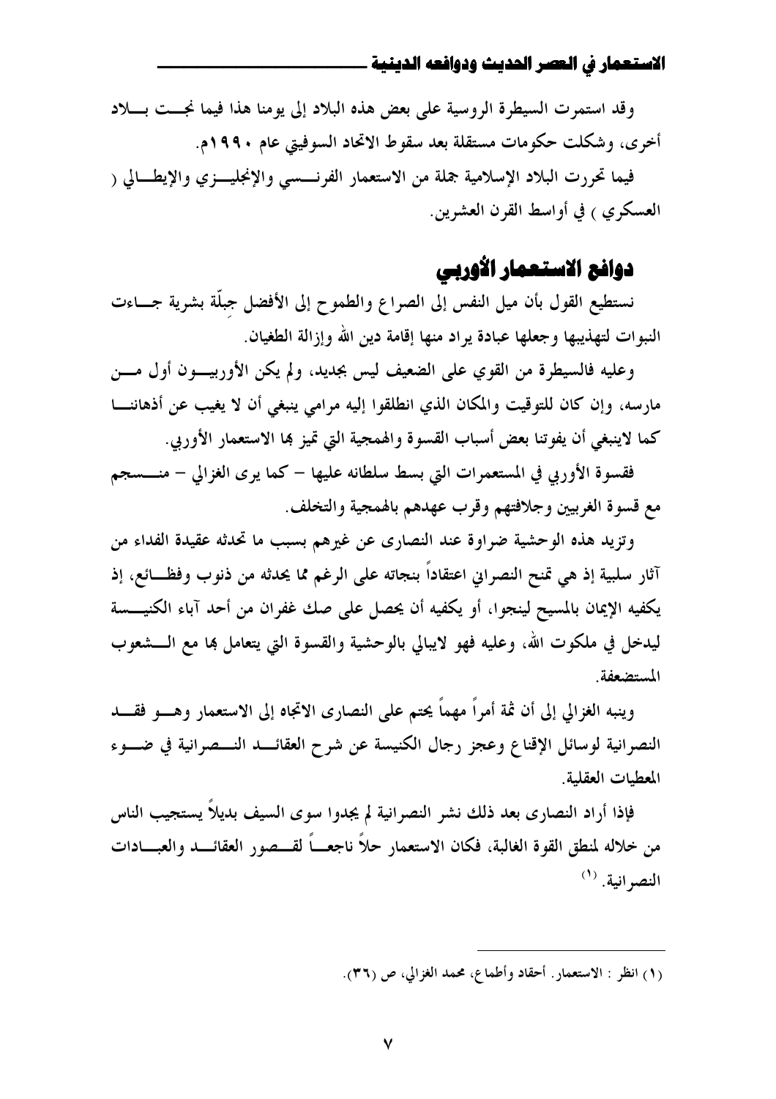وقد استمرت السيطرة الروسية على بعض هذه البلاد إلى يومنا هذا فيما نجست بسلاد أخرى، وشكلت حكومات مستقلة بعد سقوط الاتحاد السوفيتي عام ١٩٩٠م.

فيما تحررت البلاد الإسلامية جملة من الاستعمار الفرنــــسى والإنجليــــزي والإيطـــالى ( العسكري ) في أواسط القرن العشرين.

# دوافع الاستعمار الأوربي

نستطيع القول بأن ميل النفس إلى الصراع والطموح إلى الأفضل جبلَّة بشرية جــاءت النبوات لتهذيبها وجعلها عبادة يراد منها إقامة دين الله وإزالة الطغيان.

وعليه فالسيطرة من القوي على الضعيف ليس بجديد، ولم يكن الأوربيــون أول مـــن مارسه، وإن كان للتوقيت والمكان الذي انطلقوا إليه مرامي ينبغي أن لا يغيب عن أذهاننــا كما لاينبغي أن يفوتنا بعض أسباب القسوة والهمجية التي تميز ها الاستعمار الأوربي.

فقسوة الأوربي في المستعمرات التي بسط سلطانه عليها – كما يرى الغزالي – منــــسجم مع قسوة الغربيين وجلافتهم وقرب عهدهم بالهمجية والتخلف.

وتزيد هذه الوحشية ضراوة عند النصاري عن غيرهم بسبب ما تحدثه عقيدة الفداء من آثار سلبية إذ هي تمنح النصراني اعتقاداً بنجاته على الرغم مما يحدثه من ذنوب وفظــائع، إذ يكفيه الإيمان بالمسيح لينجوا، أو يكفيه أن يحصل على صك غفران من أحد آباء الكنيسسة ليدخل في ملكوت الله، وعليه فهو لايبالي بالوحشية والقسوة التي يتعامل بما مع الـــشعوب المستضعفة.

وينبه الغزالي إلى أن ثمة أمراً مهماً يحتم على النصارى الاتجاه إلى الاستعمار وهــــو فقـــــد النصرانية لوسائل الإقناع وعجز رجال الكنيسة عن شرح العقائـــد النـــصرانية في ضـــوء المعطيات العقلية.

فإذا أراد النصارى بعد ذلك نشر النصرانية لم يجدوا سوى السيف بديلاً يستجيب الناس من خلاله لمنطق القوة الغالبة، فكان الاستعمار حلاً ناجعـــاً لقـــصور العقائـــد والعبــــادات  $^{(1)}$  النصر انية.

<sup>(</sup>١) انظر : الاستعمار. أحقاد وأطماع، محمد الغزالي، ص (٣٦).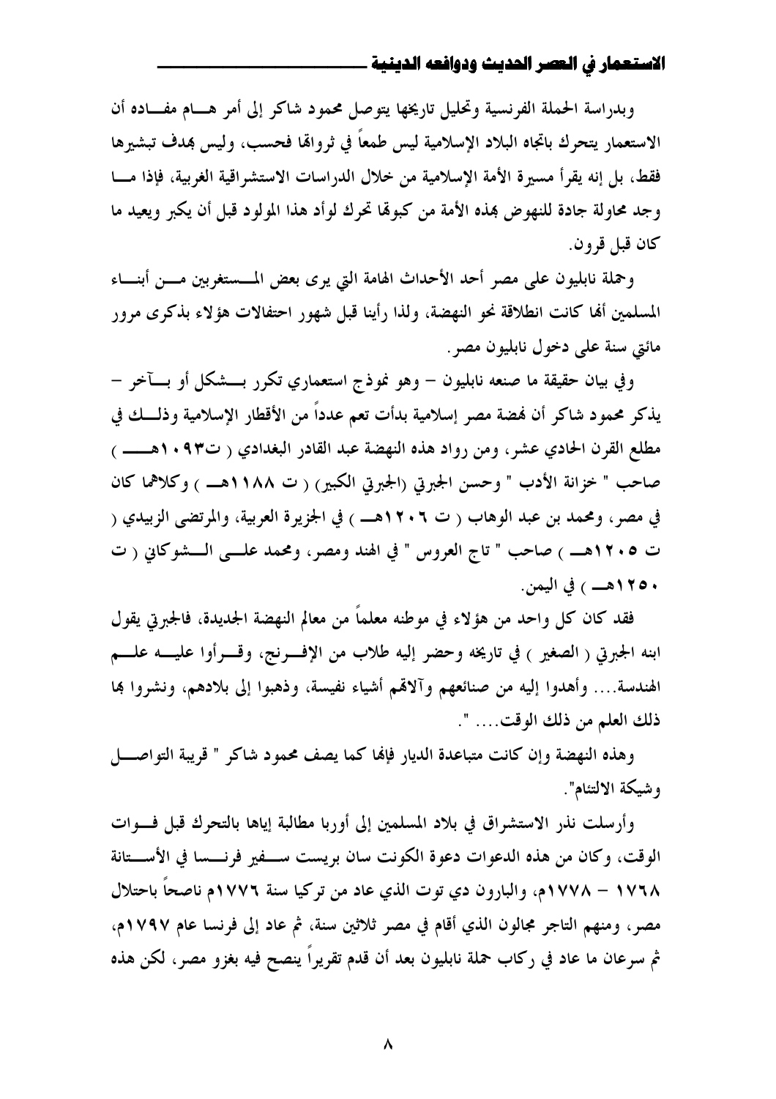وبدراسة الحملة الفرنسية وتحليل تاريخها يتوصل محمود شاكر إلى أمر هــام مفــاده أن الاستعمار يتحرك باتجاه البلاد الإسلامية ليس طمعاً في ثروالها فحسب، وليس بمدف تبشيرها فقط، بل إنه يقرأ مسيرة الأمة الإسلامية من خلال الدراسات الاستشراقية الغربية، فإذا مسا وجد محاولة جادة للنهوض بمذه الأمة من كبولها تحرك لوأد هذا المولود قبل أن يكبر ويعيد ما كان قبل قرون.

وحملة نابليون على مصر أحد الأحداث الهامة التي يرى بعض المسستغربين مسن أبنساء المسلمين ألها كانت انطلاقة نحو النهضة، ولذا رأينا قبل شهور احتفالات هؤلاء بذكرى مرور مائتي سنة على دخول نابليون مصر .

وفي بيان حقيقة ما صنعه نابليون – وهو نموذج استعماري تكرر بـــشكل أو بــــآخر – يذكر محمود شاكر أن فمضة مصر إسلامية بدأت تعم عدداً من الأقطار الإسلامية وذلـــك في مطلع القرن الحادي عشر، ومن رواد هذه النهضة عبد القادر البغدادي ( ت١٠٩٣هـــــ ) صاحب " خزانة الأدب " وحسن الجبرتي (الجبرتي الكبير) ( ت ١١٨٨هــ ) وكلاهما كان في مصر ، ومحمد بن عبد الوهاب ( ت ١٢٠٦هــ ) في الجزيرة العربية، والمرتضى الزبيدي ( ت ١٢٠٥هــ ) صاحب " تاج العروس " في الهند ومصر، ومحمد علـــي الـــشوكاني ( ت ۱۲۵۰هـــ ) في اليمن.

فقد كان كل واحد من هؤلاء في موطنه معلماً من معالم النهضة الجديدة، فالجبرتي يقول ابنه الجبرتي ( الصغير ) في تاريخه وحضر إليه طلاب من الإفسرنج، وقسرأوا عليسه علسم الهندسة.... وأهدوا إليه من صنائعهم وآلاقمم أشياء نفيسة، وذهبوا إلى بلادهم، ونشروا هِا ذلك العلم من ذلك الوقت.... ".

وهذه النهضة وإن كانت متباعدة الديار فإلها كما يصف محمود شاكر " قريبة التواصـــل وشيكة الالتئام".

وأرسلت نذر الاستشراق في بلاد المسلمين إلى أوربا مطالبة إياها بالتحرك قبل فسوات الوقت، وكان من هذه الدعوات دعوة الكونت سان بريست ســـفير فرنـــسا في الأســـتانة ١٧٦٨ – ١٧٧٨م، والبارون دي توت الذي عاد من تركيا سنة ١٧٧٦م ناصحاً باحتلال مصر، ومنهم التاجر مجالون الذي أقام في مصر ثلاثين سنة، ثم عاد إلى فرنسا عام ١٧٩٧م، ثم سرعان ما عاد في ركاب حملة نابليون بعد أن قدم تقريراً ينصح فيه بغزو مصر، لكن هذه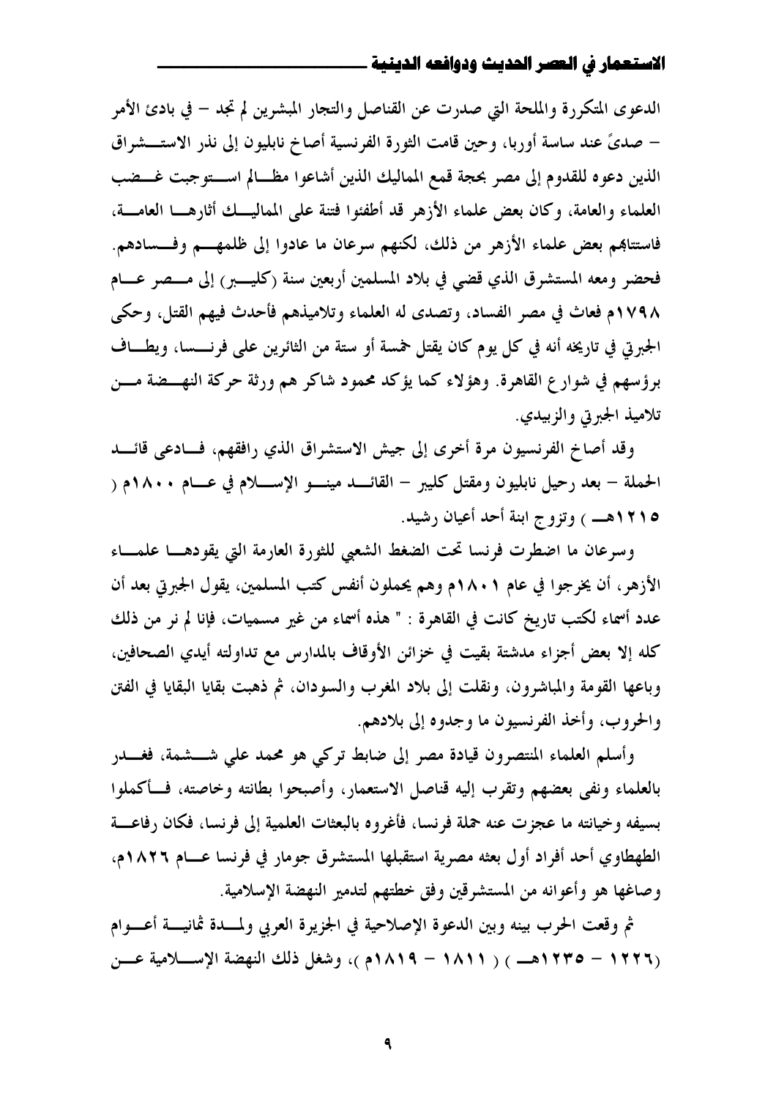الدعوى المتكررة والملحة التي صدرت عن القناصل والتجار المبشرين لم تجد – في بادئ الأمر – صديَّ عند ساسة أوربا، وحين قامت الثورة الفرنسية أصاخ نابليون إلى نذر الاستـــشراق الذين دعوه للقدوم إلى مصر بحجة قمع المماليك الذين أشاعوا مظــالم اســـتوجبت غـــضب العلماء والعامة، وكان بعض علماء الأزهر قد أطفئوا فتنة على المماليــك أثارهـــا العامـــة، فاستتاهِم بعض علماء الأزهر من ذلك، لكنهم سرعان ما عادوا إلى ظلمهـــم وفـــسادهم. فحضر ومعه المستشرق الذي قضي في بلاد المسلمين أربعين سنة (كليسير) إلى مسصر عسام ١٧٩٨م فعاث في مصر الفساد، وتصدى له العلماء وتلاميذهم فأحدث فيهم القتل، وحكى الجبرتي في تاريخه أنه في كل يوم كان يقتل لهسة أو ستة من الثائرين على فرنــــسا، ويطـــاف برؤسهم في شوار ع القاهرة. وهؤلاء كما يؤكد محمود شاكر هم ورثة حركة النهـــضة مـــن تلاميذ الجبرتي والزبيدي.

وقد أصاخ الفرنسيون مرة أخرى إلى جيش الاستشراق الذي رافقهم، فسادعي قائسد الحملة – بعد رحيل نابليون ومقتل كليبر – القائـــد مينـــو الإســــلام في عـــام ١٨٠٠م ( 1810هـــ ) وتزوج ابنة أحد أعيان رشيد.

وسرعان ما اضطرت فرنسا تحت الضغط الشعبي للثورة العارمة التي يقودهــا علمــاء الأزهر، أن يخرجوا في عام ١٨٠١م وهم يحملون أنفس كتب المسلمين، يقول الجبرتي بعد أن عدد أسماء لكتب تاريخ كانت في القاهرة : " هذه أسماء من غير مسميات، فإنا لم نر من ذلك كله إلا بعض أجزاء مدشتة بقيت في خزائن الأوقاف بالمدارس مع تداولته أيدي الصحافين، وباعها القومة والمباشرون، ونقلت إلى بلاد المغرب والسودان، ثم ذهبت بقايا البقايا في الفتن والحروب، وأخذ الفرنسيون ما وجدوه إلى بلادهم.

وأسلم العلماء المتصرون قيادة مصر إلى ضابط تركى هو محمد على شـــشمة، فغـــدر بالعلماء ونفى بعضهم وتقرب إليه قناصل الاستعمار، وأصبحوا بطانته وخاصته، فسأكملوا بسيفه وخيانته ما عجزت عنه حملة فرنسا، فأغروه بالبعثات العلمية إلى فرنسا، فكان رفاعـــة الطهطاوي أحد أفراد أول بعثه مصرية استقبلها المستشرق جومار في فرنسا عـــام ١٨٢٦م، وصاغها هو وأعوانه من المستشرقين وفق خطتهم لتدمير النهضة الإسلامية.

ثم وقعت الحرب بينه وبين الدعوة الإصلاحية في الجزيرة العربي ولمسدة ثمانيسة أعسوام (١٢٢٦ - ١٢٢٣هـــ ) ( ١٨١١ - ١٨١٩م )، وشغل ذلك النهضة الإسللامية عـــن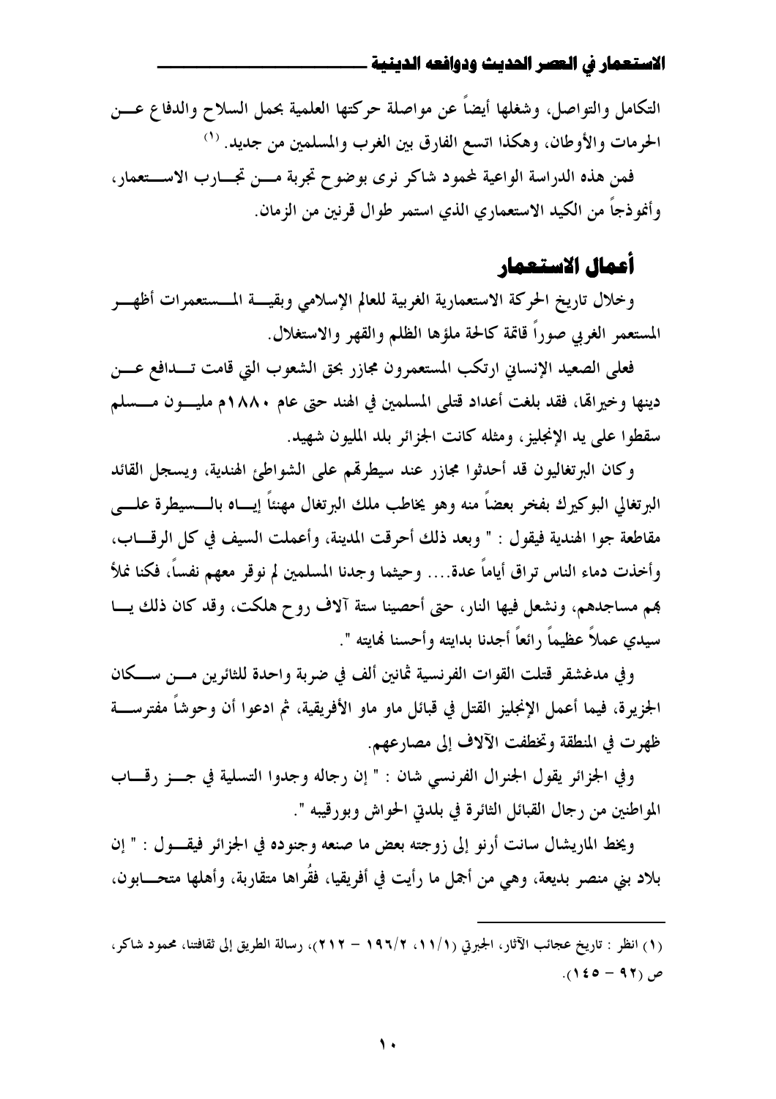التكامل والتواصل، وشغلها أيضاً عن مواصلة حركتها العلمية بحمل السلاح والدفاع عـــن الحرمات والأوطان، وهكذا اتسع الفارق بين الغرب والمسلمين من جديد. (``

فمن هذه الدراسة الواعية لمحود شاكر نرى بوضوح تجربة مسن تجسارب الاستعمار، وأغوذجاً من الكيد الاستعماري الذي استمر طوال قرنين من الزمان.

# أعمال الاستعمار

وخلال تاريخ الحركة الاستعمارية الغربية للعالم الإسلامي وبقيسة المسستعمرات أظهسر المستعمر الغربي صوراً قاتمة كالحة ملؤها الظلم والقهر والاستغلال.

فعلى الصعيد الإنساني ارتكب المستعمرون مجازر بحق الشعوب التي قامت تـــدافع عــــن دينها وخيرالها، فقد بلغت أعداد قتلي المسلمين في الهند حتى عام ١٨٨٠م مليـون مـــسلم سقطوا على يد الإنجليز ، ومثله كانت الجزائر بلد المليون شهيد.

وكان البرتغاليون قد أحدثوا مجازر عند سيطرقم على الشواطئ الهندية، ويسجل القائد البرتغالي البوكيرك بفخر بعضاً منه وهو يخاطب ملك البرتغال مهنئاً إيساه بالـــسيطرة علــــي مقاطعة جوا الهندية فيقول : " وبعد ذلك أحرقت المدينة، وأعملت السيف في كل الرقـــاب، وأخذت دماء الناس تراق أياماً عدة.... وحيثما وجدنا المسلمين لم نوقر معهم نفساً، فكنا نملأ هم مساجدهم، ونشعل فيها النار، حتى أحصينا ستة آلاف روح هلكت، وقد كان ذلك يـــا سيدي عملاً عظيماً رائعاً أجدنا بدايته وأحسنا لهايته ".

وفي مدغشقر قتلت القوات الفرنسية ثمانين ألف في ضربة واحدة للثائرين مـــن ســـكان الجزيرة، فيما أعمل الإنجليز القتل في قبائل ماو ماو الأفريقية، ثم ادعوا أن وحوشاً مفترســــة ظهرت في المنطقة وتخطفت الآلاف إلى مصارعهم.

وفي الجزائر يقول الجنرال الفرنسي شان : " إن رجاله وجدوا التسلية في جــز رقـــاب المواطنين من رجال القبائل الثائرة في بلدتى الحواش وبورقيبه ".

ويخط الماريشال سانت أرنو إلى زوجته بعض ما صنعه وجنوده في الجزائر فيقـول : " إن بلاد بني منصر بديعة، وهي من أجمل ما رأيت في أفريقيا، فقُراها متقاربة، وأهلها متحـــابون،

<sup>(</sup>١) انظر : تاريخ عجائب الآثار، الجبرتي (١١/١، ١٩٦/٢ – ٢١٢)، رسالة الطريق إلى ثقافتنا، محمود شاكر،  $(1$  غ ( ) (  $(15 - 9)$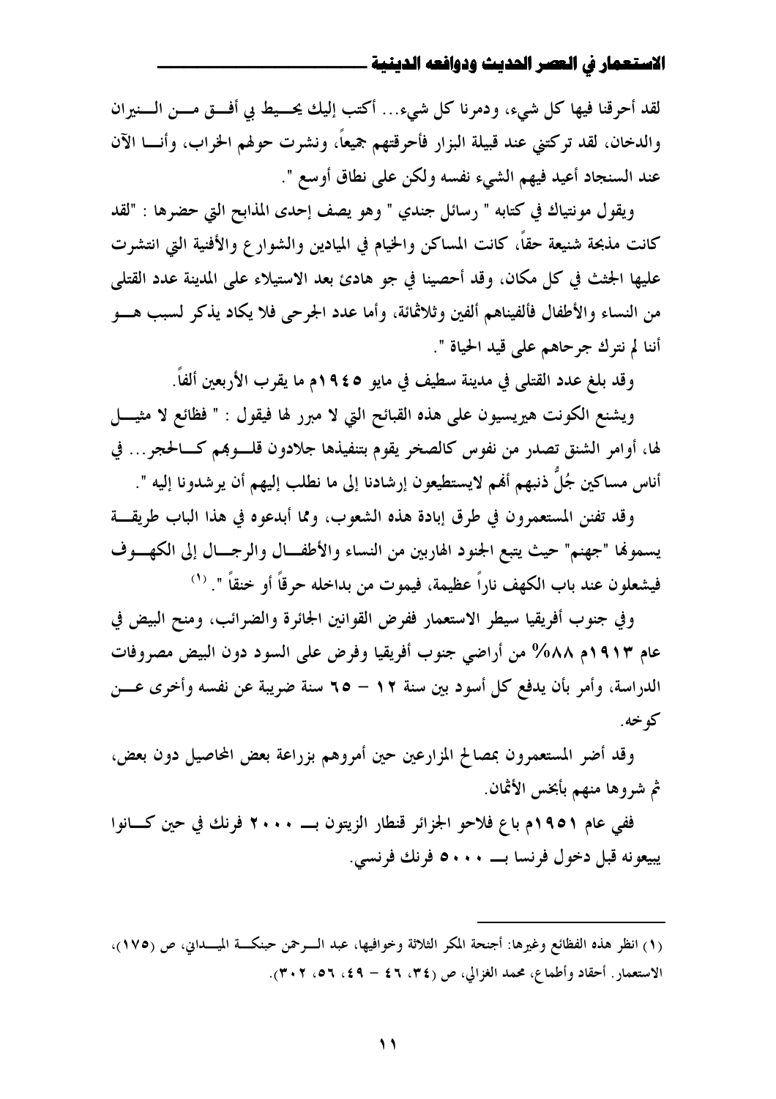لقد أحرقنا فيها كل شيء، ودمرنا كل شيء… أكتب إليك يحسيط بي أفسق مسن السنيران والدخان، لقد تركتني عند قبيلة البزار فأحرقتهم جميعاً، ونشرت حولهم الخراب، وأنــــا الآن عند السنجاد أعيد فيهم الشيء نفسه ولكن على نطاق أوسع ".

ويقول مونتياك في كتابه " رسائل جندي " وهو يصف إحدى المذابح التي حضرها : "لقد كانت مذبحة شنيعة حقاً، كانت المساكن والخيام في الميادين والشوارع والأفنية التي انتشرت عليها الجثث في كل مكانٍ، وقد أحصينا في جو هادئ بعد الاستيلاء على المدينة عدد القتلي من النساء والأطفال فألفيناهم ألفين وثلاثمائة، وأما عدد الجرحي فلا يكاد يذكر لسبب هـــو أننا لم نترك جرحاهم على قيد الحياة ".

وقد بلغ عدد القتلي في مدينة سطيف في مايو ٤٥\$١م ما يقرب الأربعين ألفاً.

ويشنع الكونت هيريسيون على هذه القبائح التي لا مبرر لها فيقول : " فظائع لا مثيــــل لها، أوامر الشنق تصدر من نفوس كالصخر يقوم بتنفيذها جلادون قلـــوبمم كــــالحجر … في أناس مساكين جُلَّ ذنبهم أهْم لايستطيعون إرشادنا إلى ما نطلب إليهم أن يرشدونا إليه ".

وقد تفنن المستعمرون في طرق إبادة هذه الشعوب، ومما أبدعوه في هذا الباب طريقة يسموها "جهنم" حيث يتبع الجنود الهاربين من النساء والأطفــال والرجــال إلى الكهــوف فيشعلون عند باب الكهف ناراً عظيمة، فيموت من بداخله حرقاً أو خنقاً ". <sup>(١)</sup>

وفي جنوب أفريقيا سيطر الاستعمار ففرض القوانين الجائرة والضرائب، ومنح البيض في عام ١٩١٣م ٨٨٨% من أراضي جنوب أفريقيا وفرض على السود دون البيض مصروفات الدراسة، وأمر بأن يدفع كل أسود بين سنة ١٢ – ٦٥ سنة ضريبة عن نفسه وأخرى عــــن که خه.

وقد أضر المستعمرون بمصالح المزارعين حين أمروهم بزراعة بعض المحاصيل دون بعض، ثم شروها منهم بأبخس الأثمان.

ففي عام ١٩٥١م باع فلاحو الجزائر قنطار الزيتون بـــ ٢٠٠٠ فرنك في حين كـــانوا 

<sup>(</sup>١) انظر هذه الفظائع وغيرها: أجنحة المكر الثلاثة وخوافيها، عبد الـوحمن حبنكــة الميــداني، ص (١٧٥)، الاستعمار . أحقاد وأطماع، محمد الغزالي، ص (٣٤، ٤٦ – ٤٩، ٥٦، ٣٠٢).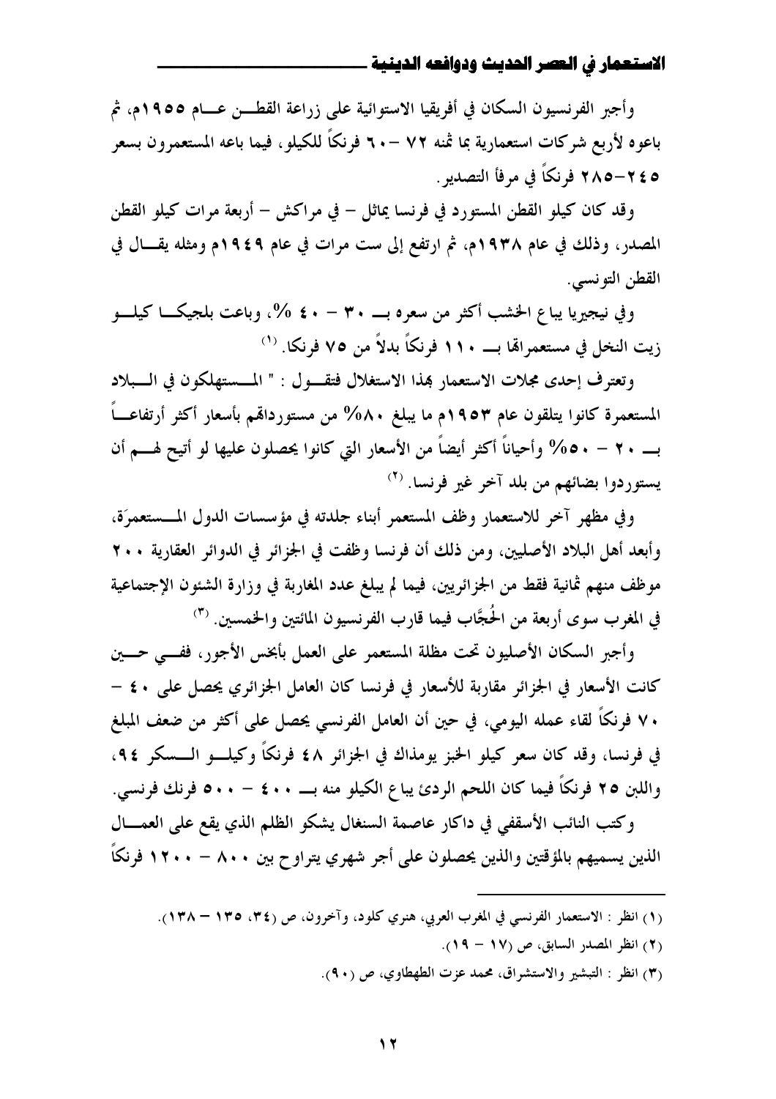وأجبر الفرنسيون السكان في أفريقيا الاستوائية على زراعة القطــن عــام ١٩٥٥م، ثم باعوه لأربع شركات استعمارية بما ثمنه ٧٢ –٢٠ فرنكًا للكيلو، فيما باعه المستعمرون بسعر ٥ ٢٤-٢٨٥ فرنكاً في مرفأ التصدير .

وقد كان كيلو القطن المستورد في فرنسا يماثل – في مراكش – أربعة مرات كيلو القطن المصدر، وذلك في عام ١٩٣٨م، ثم ارتفع إلى ست مرات في عام ١٩٤٩م ومثله يقـــال في القطن التونسي.

وفي نيجيريا يباع الخشب أكثر من سعره بـــــ ٣٠ – ٤٠ %، وباعت بلجيكــــا كيلــــو زيت النخل في مستعمرالها بـــــ ١١٠ فرنكاً بدلاً من ٧٥ فرنكا. <sup>(١)</sup>

وتعترف إحدى مجلات الاستعمار بمذا الاستغلال فتقول : " المسستهلكون في السبلاد المستعمرة كانوا يتلقون عام ١٩٥٣م ما يبلغ ٨٨٠% من مستوردالهم بأسعار أكثر أرتفاعـــاً بـــــ ٢٠ – ٥٠% وأحياناً أكثر أيضاً من الأسعار التي كانوا يحصلون عليها لو أتيح لهــــم أن يستوردوا بضائهم من بلد آخر غير فرنسا. <sup>(٢)</sup>

وفي مظهر آخر للاستعمار وظف المستعمر أبناء جلدته في مؤسسات الدول المسستعمرَة، وأبعد أهل البلاد الأصليين، ومن ذلك أن فرنسا وظفت في الجزائر في الدوائر العقارية ٢٠٠ موظف منهم ثمانية فقط من الجزائريين، فيما لم يبلغ عدد المغاربة في وزارة الشئون الإجتماعية في المغرب سوى أربعة من الحُجَّاب فيما قارب الفرنسيون المائتين والخمسين. (٣)

وأجبر السكان الأصليون تحت مظلة المستعمر على العمل بأبخس الأجور، ففسي حسين كانت الأسعار في الجزائر مقاربة للأسعار في فرنسا كان العامل الجزائري يحصل على ٤٠ – ٧٠ فرنكاً لقاء عمله اليومي، في حين أن العامل الفرنسي يحصل على أكثر من ضعف المبلغ في فرنسا، وقد كان سعر كيلو الخبز يومذاك في الجزائر ٤٨ فرنكاً وكيلـــو الــــسكر ٩٤، واللبن ٢٥ فرنكاً فيما كان اللحم الردئ يباع الكيلو منه بـــــ ٤٠٠ – ٥٠٠ فرنك فرنسي.

وكتب النائب الأسقفي في داكار عاصمة السنغال يشكو الظلم الذي يقع على العمـــال الذين يسميهم بالمؤقتين والذين يحصلون على أجر شهري يتراوح بين ٨٠٠ – ١٢٠٠ فرنكاً

- (٢) انظر المصدر السابق، ص (١٧ ١٩).
- (٣) انظر : التبشير والاستشراق، محمد عزت الطهطاوي، ص (٩٠).

<sup>(</sup>١) انظر : الاستعمار الفرنسي في المغرب العربي، هنري كلود، وآخرون، ص (٣٤، ١٣٥ – ١٣٨).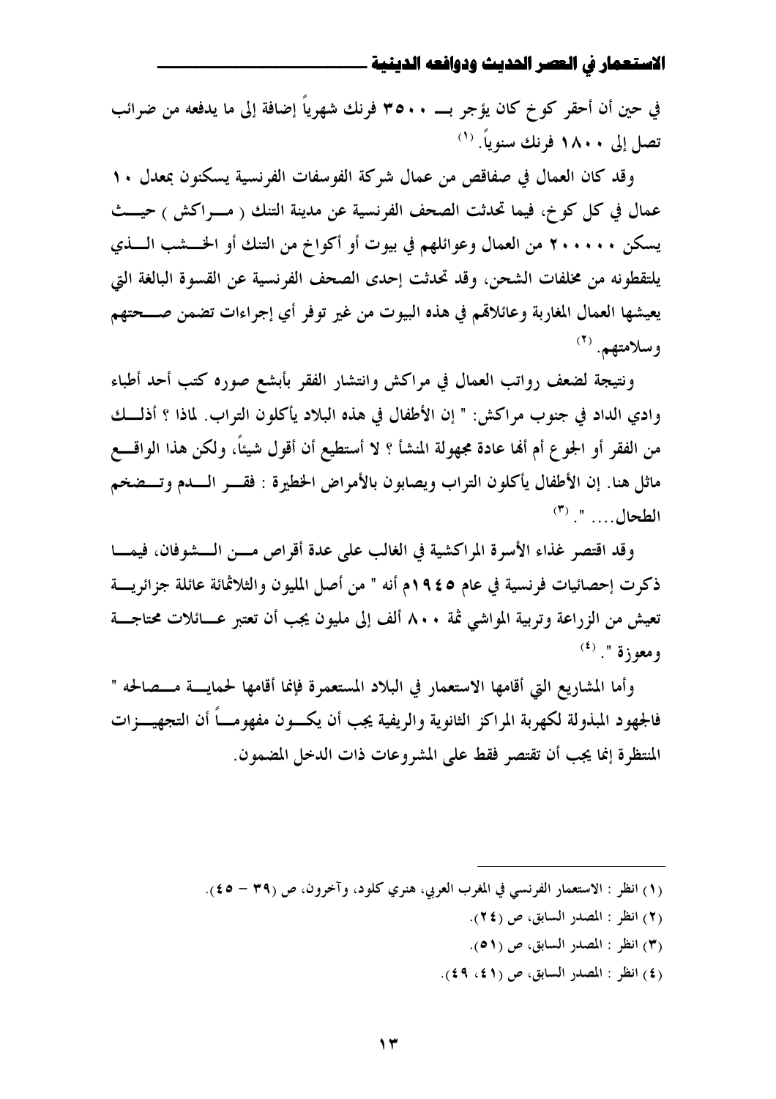في حين أن أحقر كو خ كان يؤجر بــــ ٣٥٠٠ فرنك شهرياً إضافة إلى ما يدفعه من ضرائب تصل إلى ١٨٠٠ فرنك سنوياً. <sup>(١)</sup>

وقد كان العمال في صفاقص من عمال شركة الفوسفات الفرنسية يسكنون بمعدل ١٠ عمال في كل كو خ، فيما تحدثت الصحف الفرنسية عن مدينة التنك ( مسراكش ) حيسث يسكن ٢٠٠٠٠٠ من العمال وعوائلهم في بيوت أو أكواخ من التنك أو الخــــشب الــــذي يلتقطونه من مخلفات الشحن، وقد تحدثت إحدى الصحف الفرنسية عن القسوة البالغة التي يعيشها العمال المغاربة وعائلاقم في هذه البيوت من غير توفر أي إجراءات تضمن صـــحتهم وسلامتهم. (۲)

ونتيجة لضعف رواتب العمال في مراكش وانتشار الفقر بأبشع صوره كتب أحد أطباء وادي الداد في جنوب مراكش: " إن الأطفال في هذه البلاد يأكلون التراب. لماذا ؟ أذلـــك من الفقر أو الجوع أم ألها عادة مجهولة المنشأ ؟ لا أستطيع أن أقول شيئاً، ولكن هذا الواقــــع ماثل هنا. إن الأطفال يأكلون التراب ويصابون بالأمراض الخطيرة : فقــــر الــــــدم وتــــضخم  $\binom{(\mathsf{r})}{\mathsf{r}}$  "

وقد اقتصر غذاء الأسرة المراكشية في الغالب على عدة أقراص مسن السشوفان، فيمسا ذكرت إحصائيات فرنسية في عام ٩٤٥م أنه " من أصل المليون والثلاثمائة عائلة جزائريسة تعيش من الزراعة وتربية المواشي ثمة ٨٠٠ ألف إلى مليون يجب أن تعتبر عــائلات محتاجـــة  $(3)$  ومعوزة ".

وأما المشاريع التي أقامها الاستعمار في البلاد المستعمرة فإنما أقامها لحمايسة مسصالحه " فالجهو د المبذولة لكهربة المراكز الثانوية والريفية يجب أن يكسون مفهومساً أن التجهيسـزات المنتظرة إنما يجب أن تقتصر فقط على المشروعات ذات الدخل المضمون.

- (١) انظر : الاستعمار الفرنسي في المغرب العربي، هنري كلود، وآخرون، ص (٣٩ ٤٥).
	- (٢) انظر : المصدر السابق، ص (٢٤).
	- (٣) انظر : المصدر السابق، ص (٥١).
	- (٤) انظر : المصدر السابق، ص (٤١، ٤٩).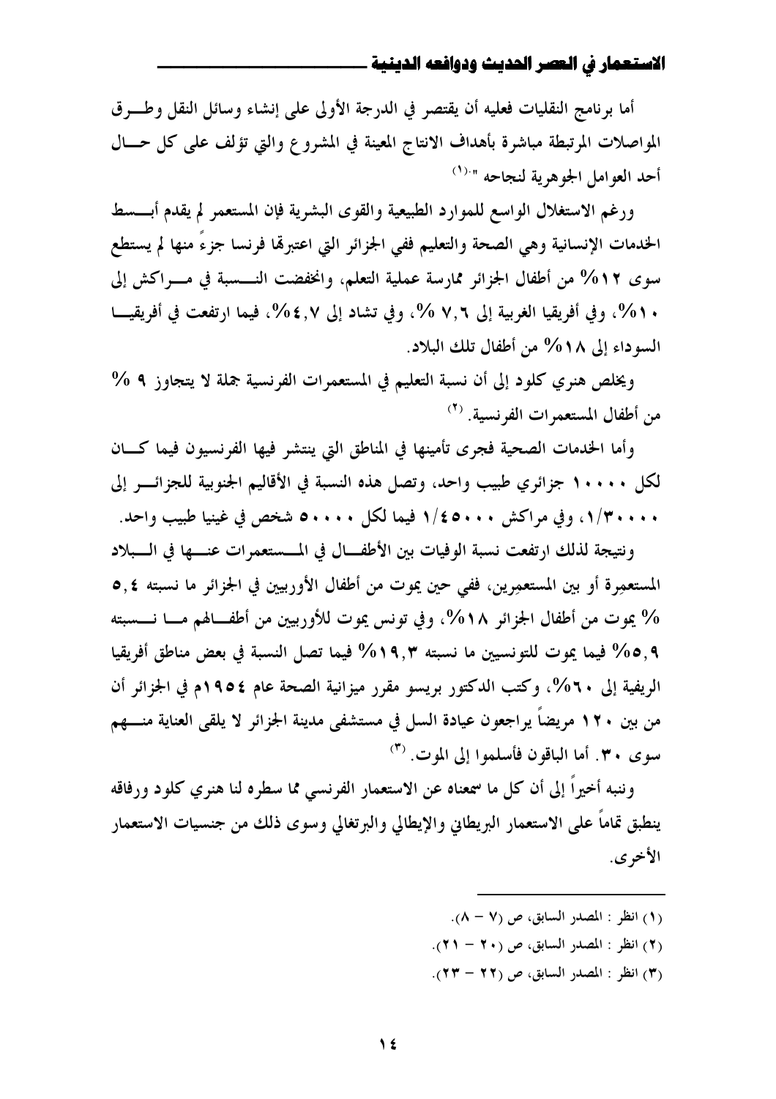أما برنامج النقليات فعليه أن يقتصر في الدرجة الأولى على إنشاء وسائل النقل وطب ق المواصلات المرتبطة مباشرة بأهداف الانتاج المعينة في المشروع والتي تؤلف على كل حــال أحد العوامل الجوهرية لنجاحه "<sup>(١)</sup>

ورغم الاستغلال الواسع للموارد الطبيعية والقوى البشرية فإن المستعمر لم يقدم أبـــسط الخدمات الإنسانية وهي الصحة والتعليم ففي الجزائر التي اعتبرها فرنسا جزءٌ منها لم يستطع سوى 1٢% من أطفال الجزائر ممارسة عملية التعلم، وانخفضت النــــسبة في مــــراكش إلى . ٥ %، وفي أفريقيا الغربية إلى ٧,٦ %، وفي تشاد إلى ٤,٧ %، فيما ارتفعت في أفريقيـــا السوداء إلى ١٨% من أطفال تلك البلاد.

ويخلص هنري كلود إلى أن نسبة التعليم في المستعمرات الفرنسية جملة لا يتجاوز ٩ % من أطفال المستعمرات الفرنسية. <sup>(٢)</sup>

وأما الخدمات الصحية فجرى تأمينها في المناطق التي ينتشر فيها الفرنسيون فيما كسان لكل ١٠٠٠٠ جزائري طبيب واحد، وتصل هذه النسبة في الأقاليم الجنوبية للجزائـــر إلى ۰ ، ۰ ، ۲/۳، وفي مراكش ۶۰۰۰ / ۱ فيما لكل ۶۰۰۰۰ شخص في غينيا طبيب واحد.

ونتيجة لذلك ارتفعت نسبة الوفيات بين الأطفــال في المـــستعمرات عنـــها في الـــبلاد المستعمِرة أو بين المستعمِرين، ففي حين يموت من أطفال الأوربيين في الجزائر ما نسبته ٥٫٤ % يموت من أطفال الجزائر ١٨%، وفي تونس يموت للأوربيين من أطفــالهم مـــا نـــسبته 6, 0% فيما يموت للتونسيين ما نسبته ٩,٣% فيما تصل النسبة في بعض مناطق أفريقيا الريفية إلى ٢٠%، وكتب الدكتور بريسو مقرر ميزانية الصحة عام ١٩٥٤م في الجزائر أن من بين ٢٠ ٩ مريضاً يراجعون عيادة السل في مستشفى مدينة الجزائر لا يلقى العناية منــــهم  $\sigma$ سوى ٣٠. أما الباقون فأسلموا إلى الموت. (٣)

وننبه أخيراً إلى أن كل ما سمعناه عن الاستعمار الفرنسي مما سطره لنا هنري كلود ورفاقه ينطبق تماماً على الاستعمار البريطاني والإيطالي والبرتغالي وسوى ذلك من جنسيات الاستعمار الأخرى.

- (١) انظر : المصدر السابق، ص (٧ ٨).
- (٢) انظر: المصدر السابق، ص (٢٠ ٢١).
- (٣) انظر : المصدر السابق، ص (٢٢ ٢٣).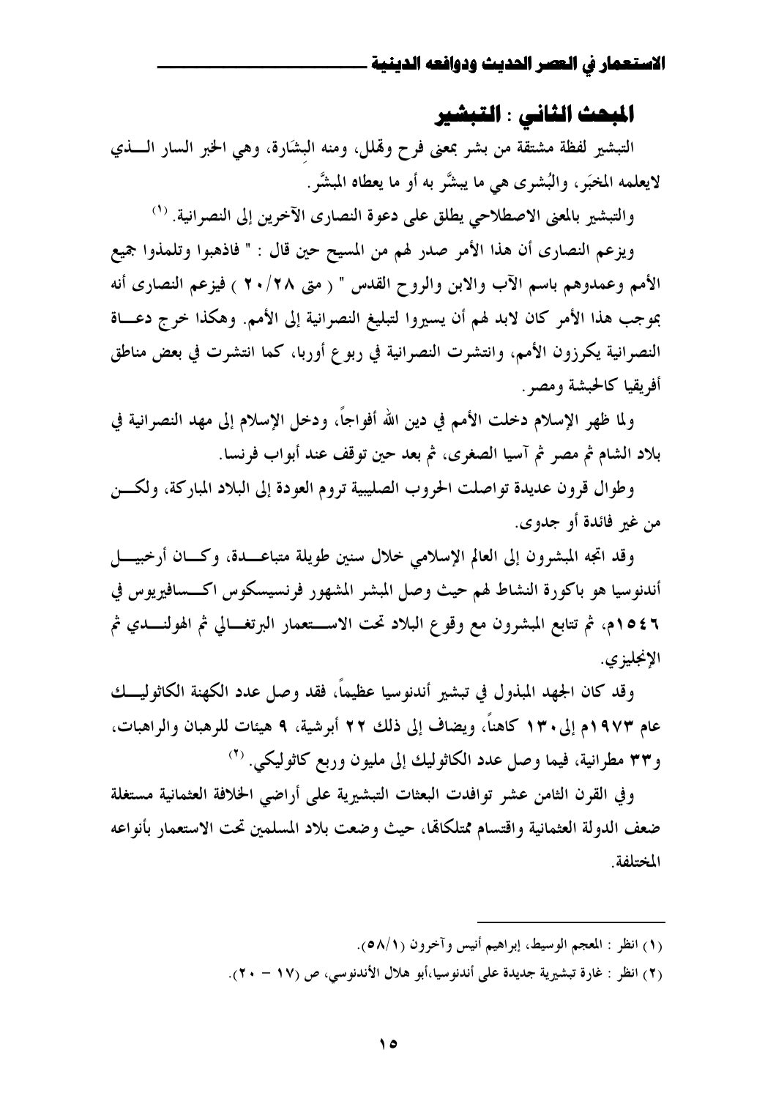# المبحث الثاني : التبشير

التبشير لفظة مشتقة من بشر بمعنى فرح وقملل، ومنه البشارة، وهي الخبر السار السذي لايعلمه المخبَر ، والبُشرى هي ما يبشَّر به أو ما يعطاه المبشَّر.

والتبشير بالمعنى الاصطلاحي يطلق على دعوة النصارى الآخرين إلى النصرانية. (١)

ويزعم النصاري أن هذا الأمر صدر لهم من المسيح حين قال : " فاذهبوا وتلمذوا جميع الأمم وعمدوهم باسم الآب والابن والروح القدس " ( متى ٢٠/٢٨ ) فيزعم النصارى أنه بموجب هذا الأمر كان لابد لهم أن يسيروا لتبليغ النصرانية إلى الأمم. وهكذا خرج دعــاة النصرانية يكرزون الأمم، وانتشرت النصرانية في ربوع أوربا، كما انتشرت في بعض مناطق أفريقيا كالحبشة ومصر .

ولما ظهر الإسلام دخلت الأمم في دين الله أفواجاً، ودخل الإسلام إلى مهد النصرانية في بلاد الشام ثم مصر ثم آسيا الصغرى، ثم بعد حين توقف عند أبواب فرنسا.

وطوال قرون عديدة تواصلت الحروب الصليبية تروم العودة إلى البلاد المباركة، ولكسن من غير فائدة أو جدوى.

وقد اتجه المبشرون إلى العالم الإسلامي خلال سنين طويلة متباعــدة، وكــان أرخبيــــل أندنوسيا هو باكورة النشاط لهم حيث وصل المبشر المشهور فرنسيسكوس اكـــسافيريوس في ٤٤م١م، ثم تتابع المبشرون مع وقوع البلاد تحت الاســـتعمار البرتغـــالي ثم الهولنــــدي ثم الإنجليزي.

وقد كان الجهد المبذول في تبشير أندنوسيا عظيماً، فقد وصل عدد الكهنة الكاثوليـــك عام ١٩٧٣م إلى ١٣٠ كاهناً، ويضاف إلى ذلك ٢٢ أبرشية، ٩ هيئات للرهبان والراهبات، و٣٣ مطرانية، فيما وصل عدد الكاثوليك إلى مليون وربع كاثوليكي. (٢)

وفي القرن الثامن عشر توافدت البعثات التبشيرية على أراضي الخلافة العثمانية مستغلة ضعف الدولة العثمانية واقتسام ممتلكالها، حيث وضعت بلاد المسلمين تحت الاستعمار بأنواعه المختلفة.

- (١) انظر : المعجم الوسيط، إبراهيم أنيس وآخرون (٥٨/١).
- (٢) انظر : غارة تبشيرية جديدة على أندنوسيا،أبو هلال الأندنوسي، ص (١٧ ٢٠).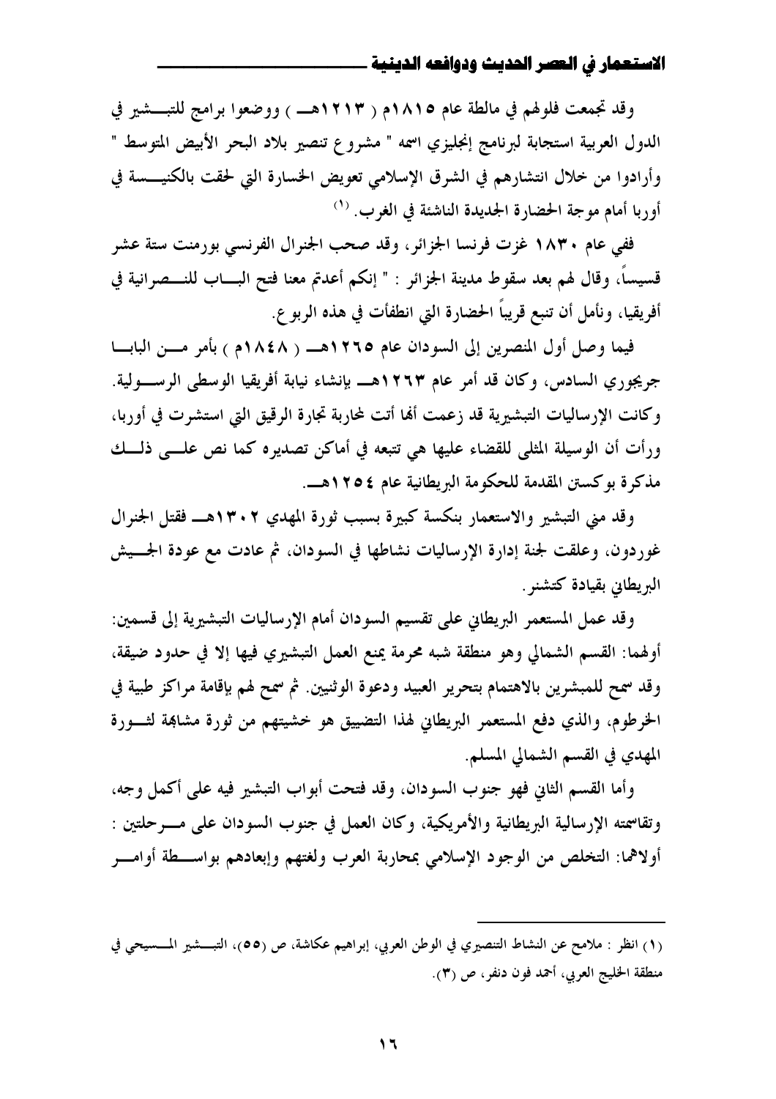وقد تجمعت فلولهم في مالطة عام ١٨١٥م ( ١٢١٣هـ ) ووضعوا برامج للتبسشير في الدول العربية استجابة لبرنامج إنجليزي اسمه " مشروع تنصير بلاد البحر الأبيض المتوسط " وأرادوا من خلال انتشارهم في الشرق الإسلامي تعويض الخسارة التي لحقت بالكنيــــسة في أوربا أمام موجة الحضارة الجديدة الناشئة في الغرب. (١)

ففي عام ١٨٣٠ غزت فرنسا الجزائر، وقد صحب الجنرال الفرنسي بورمنت ستة عشر قسيساً، وقال لهم بعد سقوط مدينة الجزائر : " إنكم أعدتم معنا فتح البــــاب للنــــصرانية في أفريقيا، ونأمل أن تنبع قريباً الحضارة التي انطفأت في هذه الربو ع.

فيما وصل أول المنصرين إلى السودان عام ١٢٦٥هـــ ( ١٨٤٨م ) بأمر مـــن البابـــا جريجوري السادس، وكان قد أمر عام ١٢٦٣هـــ بإنشاء نيابة أفريقيا الوسطى الرســـولية. وكانت الإرساليات التبشيرية قد زعمت ألها أتت لمحاربة تجارة الرقيق التي استشرت في أوربا، ورأت أن الوسيلة المثلي للقضاء عليها هي تتبعه في أماكن تصديره كما نص علـــي ذلـــك مذكرة بوكستن المقدمة للحكومة البريطانية عام ١٢٥٤هـ.

وقد منى التبشير والاستعمار بنكسة كبيرة بسبب ثورة المهدي ١٣٠٢هــ فقتل الجنرال غوردون، وعلقت لجنة إدارة الإرساليات نشاطها في السودان، ثم عادت مع عودة الجـــيش البريطاين بقيادة كتشنو .

وقد عمل المستعمر البريطاني على تقسيم السودان أمام الإرساليات التبشيرية إلى قسمين: أوهما: القسم الشمالي وهو منطقة شبه محرمة يمنع العمل التبشيري فيها إلا في حدود ضيقة، وقد سمح للمبشرين بالاهتمام بتحرير العبيد ودعوة الوثنيين. ثم سمح لهم بإقامة مراكز طبية في الخرطوم، والذي دفع المستعمر البريطاني لهذا التضييق هو خشيتهم من ثورة مشاهِة لثـورة المهدي في القسم الشمالي المسلم.

وأما القسم الثاني فهو جنوب السودان، وقد فتحت أبواب التبشير فيه على أكمل وجه، وتقاسمته الإرسالية البريطانية والأمريكية، وكان العمل في جنوب السودان على مـــرحلتين : أولاهما: التخلص من الوجود الإسلامي بمحاربة العرب ولغتهم وإبعادهم بواســطة أوامـــر

<sup>(</sup>١) انظر : ملامح عن النشاط التنصيري في الوطن العربي، إبراهيم عكاشة، ص (٥٥)، التبسشير المسسيحي في منطقة الخليج العربي، أحمد فون دنفر، ص (٣).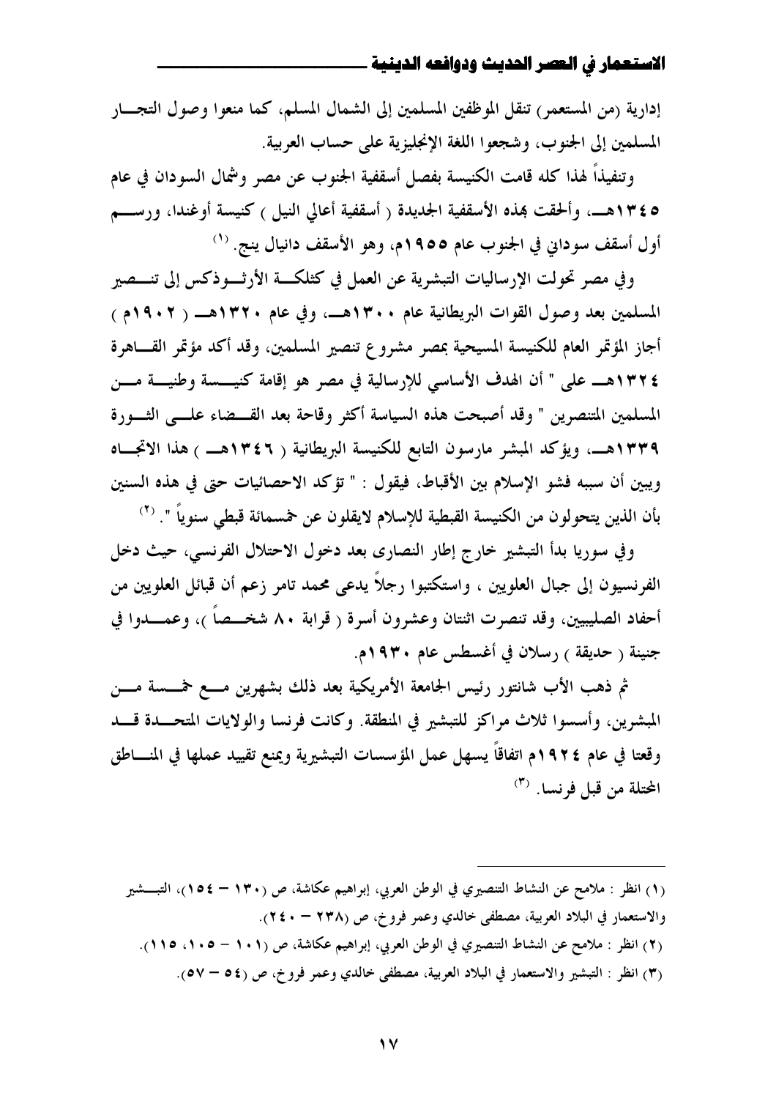إدارية (من المستعمر) تنقل الموظفين المسلمين إلى الشمال المسلم، كما منعوا وصول التجـــار المسلمين إلى الجنوب، وشجعوا اللغة الإنجليزية على حساب العربية.

وتنفيذاً لهذا كله قامت الكنيسة بفصل أسقفية الجنوب عن مصر وشمال السودان في عام ٥ ٢٤٣هــــ. وألحقت بمذه الأسقفية الجديدة ( أسقفية أعالي النيل ) كنيسة أوغندا، ورســـم أول أسقف سوداني في الجنوب عام ١٩٥٥م، وهو الأسقف دانيال ينج. (١)

وفي مصر تحولت الإرساليات التبشرية عن العمل في كثلكـــة الأرثــــوذكس إلى تنــــصير المسلمين بعد وصول القوات البريطانية عام ٢٠٠هــ، وفي عام ٢٢٠مـــ ( ١٩٠٢م ) أجاز المؤتمر العام للكنيسة المسيحية بمصر مشروع تنصير المسلمين، وقد أكد مؤتمر القــاهرة ١٣٢٤هـــ على " أن الهدف الأساسي للإرسالية في مصر هو إقامة كنيـــــسة وطنيــــة مــــن المسلمين المتنصرين " وقد أصبحت هذه السياسة أكثر وقاحة بعد القـــضاء علـــى الثـــورة ١٣٣٩هــــ. ويؤكد المبشر مارسون التابع للكنيسة البريطانية ( ١٣٤٦هـــ ) هذا الاتجـــاه ويبين أن سببه فشو الإسلام بين الأقباط، فيقول : " تؤكد الاحصائيات حتى في هذه السنين بأن الذين يتحولون من الكنيسة القبطية للإسلام لايقلون عن خمسمائة قبطي سنوياً ". (٢)

وفي سوريا بدأ التبشير خارج إطار النصاري بعد دخول الاحتلال الفرنسي، حيث دخل الفرنسيون إلى جبال العلويين ، واستكتبوا رجلاً يدعى محمد تامر زعم أن قبائل العلويين من أحفاد الصليبيين، وقد تنصرت اثنتان وعشرون أسرة ( قرابة ٨٠ شخــصاً )، وعمـــدوا في جنينة ( حديقة ) رسلان في أغسطس عام ١٩٣٠م.

ثم ذهب الأب شانتور رئيس الجامعة الأمريكية بعد ذلك بشهرين مسع خمسسة مسن المبشرين، وأسسوا ثلاث مراكز للتبشير في المنطقة. وكانت فرنسا والولايات المتحــدة قـــد وقعتا في عام ١٩٢٤م اتفاقاً يسهل عمل المؤسسات التبشيرية ويمنع تقييد عملها في المنـــاطق المحتلة من قبل فرنسا. <sup>(٣)</sup>

(١) انظر : ملامح عن النشاط التنصيري في الوطن العربي، إبراهيم عكاشة، ص (١٣٠ – ١٥٤)، التبسشير والاستعمار في البلاد العربية، مصطفى خالدي وعمر فروخ، ص (٢٣٨ - ٢٤٠). (٢) انظر : ملامح عن النشاط التنصيري في الوطن العربي، إبراهيم عكاشة، ص (١٠١ – ١٠٥، ١١٥). (٣) انظر : التبشير والاستعمار في البلاد العربية، مصطفى خالدي وعمر فروخ، ص (٥٤ – ٥٧).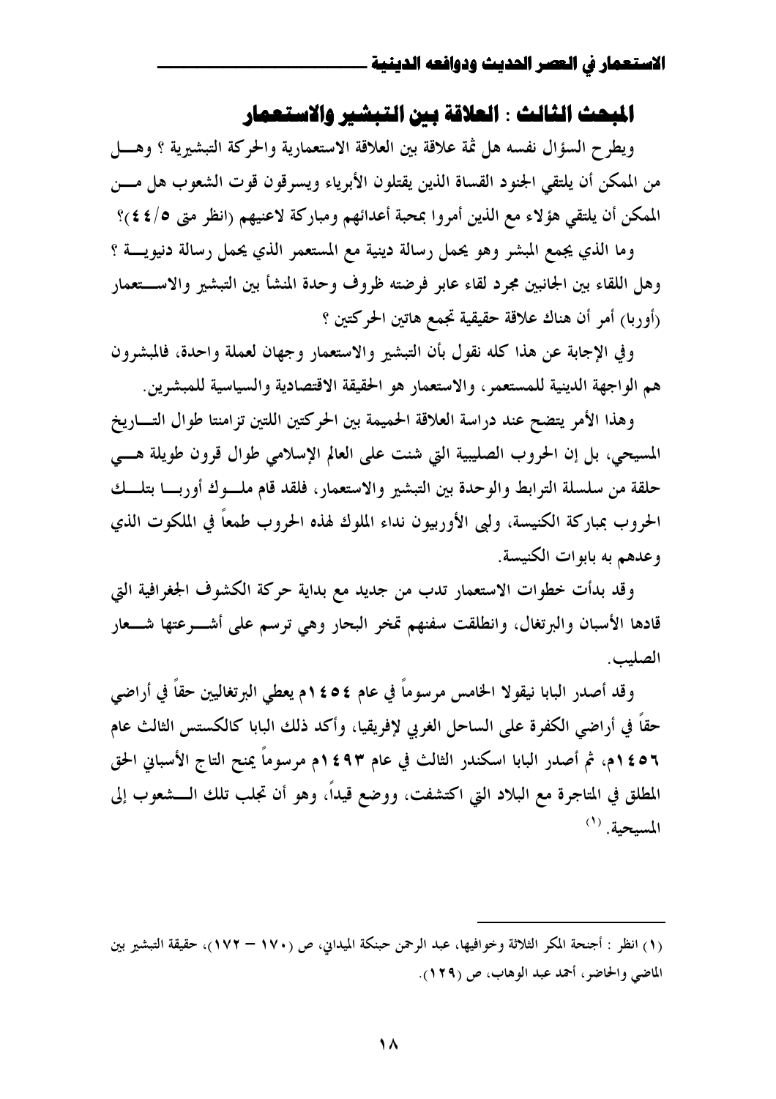# المبحث الثالث : العلاقة بين التبشير والاستعمار

ويطرح السؤال نفسه هل ثمة علاقة بين العلاقة الاستعمارية والحركة التبشيرية ؟ وهـــل من الممكن أن يلتقي الجنود القساة الذين يقتلون الأبرياء ويسرقون قوت الشعوب هل مسن الممكن أن يلتقي هؤلاء مع الذين أمروا بمحبة أعدائهم ومباركة لاعنيهم (انظر متى ٤/٤٤)؟

وما الذي يجمع المبشر وهو يحمل رسالة دينية مع المستعمر الذي يحمل رسالة دنيويــــة ؟ وهل اللقاء بين الجانبين مجرد لقاء عابر فرضته ظروف وحدة المنشأ بين التبشير والاستعمار (أوربا) أمرٍ أن هناك علاقة حقيقية تجمع هاتين الحركتين ؟

وفي الإجابة عن هذا كله نقول بأن التبشير والاستعمار وجهان لعملة واحدة، فالمبشرون هم الواجهة الدينية للمستعمر، والاستعمار هو الحقيقة الاقتصادية والسياسية للمبشرين.

وهذا الأمر يتضح عند دراسة العلاقة الحميمة بين الحركتين اللتين تزامنتا طوال التساريخ المسيحي، بل إن الحروب الصليبية التي شنت على العالم الإسلامي طوال قرون طويلة هـــي حلقة من سلسلة الترابط والوحدة بين التبشير والاستعمار، فلقد قام ملسوك أوربسا بتلسك الحروب بمباركة الكنيسة، ولي الأوربيون نداء الملوك لهذه الحروب طمعاً في الملكوت الذي وعدهم به بابوات الكنيسة.

وقد بدأت خطوات الاستعمار تدب من جديد مع بداية حركة الكشوف الجغرافية التي قادها الأسبان والبرتغال، وانطلقت سفنهم تمخر البحار وهي ترسم على أشـــرعتها شـــعار الصليب.

وقد أصدر البابا نيقولا الخامس مرسوماً في عام ٤٥٤م يعطي البرتغاليين حقاً في أراضي حقاً في أراضي الكفرة على الساحل الغربي لإفريقيا، وأكد ذلك البابا كالكستس الثالث عام ٤٥٦ ٢م، ثم أصدر البابا اسكندر الثالث في عام ٤٩٣ ٢م مرسوماً يمنح التاج الأسبانى الحق المطلق في المتاجرة مع البلاد التي اكتشفت، ووضع قيداً، وهو أن تجلب تلك الـــشعوب إلى  $^{(1)}$ المسحمة.

<sup>(</sup>١) انظر : أجنحة المكر الثلاثة وخوافيها، عبد الرحمن حبنكة الميداني، ص (١٧٠ – ١٧٢)، حقيقة التبشير بين الماضي والحاضر ، أحمد عبد الوهاب، ص (١٢٩).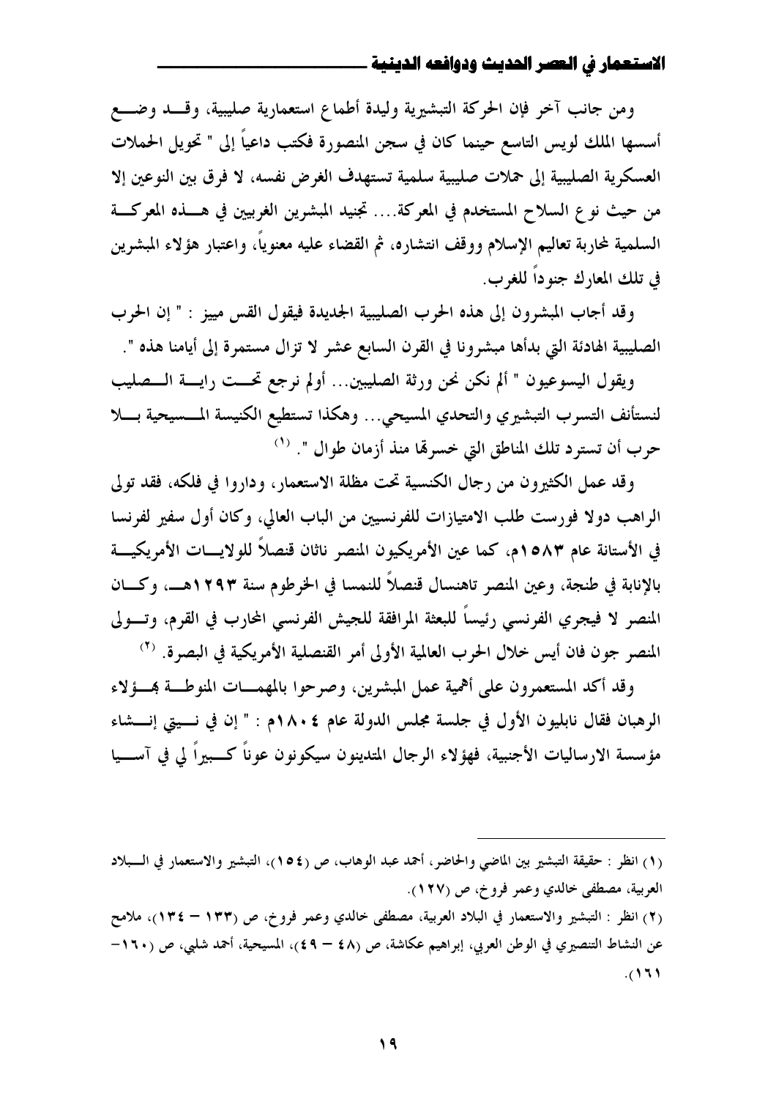ومن جانب آخر فإن الحركة التبشيرية وليدة أطماع استعمارية صليبية، وقسد وضـــع أسسها الملك لويس التاسع حينما كان في سجن المنصورة فكتب داعياً إلى " تحويل الحملات العسكرية الصليبية إلى حملات صليبية سلمية تستهدف الغرض نفسه، لا فرق بين النوعين إلا من حيث نوع السلاح المستخدم في المعركة.... تجنيد المبشرين الغربيين في هــــذه المعركــــة السلمية لمحاربة تعاليم الإسلام ووقف انتشاره، ثم القضاء عليه معنوياً، واعتبار هؤلاء المبشرين في تلك المعارك جنوداً للغوب.

وقد أجاب المبشرون إلى هذه الحرب الصليبية الجديدة فيقول القس مييز : " إن الحرب الصليبية الهادئة التي بدأها مبشرونا في القرن السابع عشر لا تزال مستمرة إلى أيامنا هذه ".

ويقول اليسوعيون " ألم نكن نحن ورثة الصليبين... أولم نرجع تحــت رايـــة الـــصليب لنستأنف التسرب التبشيري والتحدي المسيحي... وهكذا تستطيع الكنيسة المسسيحية بسلا حرب أن تسترد تلك المناطق التي خسرهّا منذ أزمان طوال ". <sup>(١)</sup>

وقد عمل الكثيرون من رجال الكنسية تحت مظلة الاستعمار، وداروا في فلكه، فقد تولى الراهب دولا فورست طلب الامتيازات للفرنسيين من الباب العالي، وكان أول سفير لفرنسا في الأستانة عام ١٥٨٣م، كما عن الأمريكيون المنصر ناثان قنصلاً للولايسات الأمريكيسة بالإنابة في طنجة، وعين المنصر تاهنسال قنصلاً للنمسا في الخرطوم سنة ١٢٩٣هــ، وكـــان المنصر لا فيجرى الفرنسي رئيساً للبعثة المرافقة للجيش الفرنسي المحارب في القرم، وتسولي المنصر جون فان أيس خلال الحرب العالمية الأولى أمر القنصلية الأمريكية في البصرة. <sup>(٢)</sup>

وقد أكد المستعمرون على أهمية عمل المبشرين، وصرحوا بالمهمــات المنوطــة بمــؤلاء الرهبان فقال نابليون الأول في جلسة مجلس الدولة عام ١٨٠٤م : " إن في نسيتي إنسشاء مؤسسة الارساليات الأجنبية، فهؤلاء الرجال المتدينون سيكونون عوناً كـــبيراً لي في آســـيا

<sup>(</sup>١) انظر : حقيقة التبشير بين الماضي والحاضر، أحمد عبد الوهاب، ص (١٥٤)، التبشير والاستعمار في الــبلاد العربية، مصطفى خالدي وعمر فروخ، ص (١٢٧).

<sup>(</sup>٢) انظر : التبشير والاستعمار في البلاد العربية، مصطفى خالدي وعمر فروخ، ص (١٣٣ – ١٣٤)، ملامح عن النشاط التنصيري في الوطن العربي، إبراهيم عكاشة، ص (٤٨ – ٤٩)، المسيحية، أحمد شلبي، ص (١٦٠- $(17)$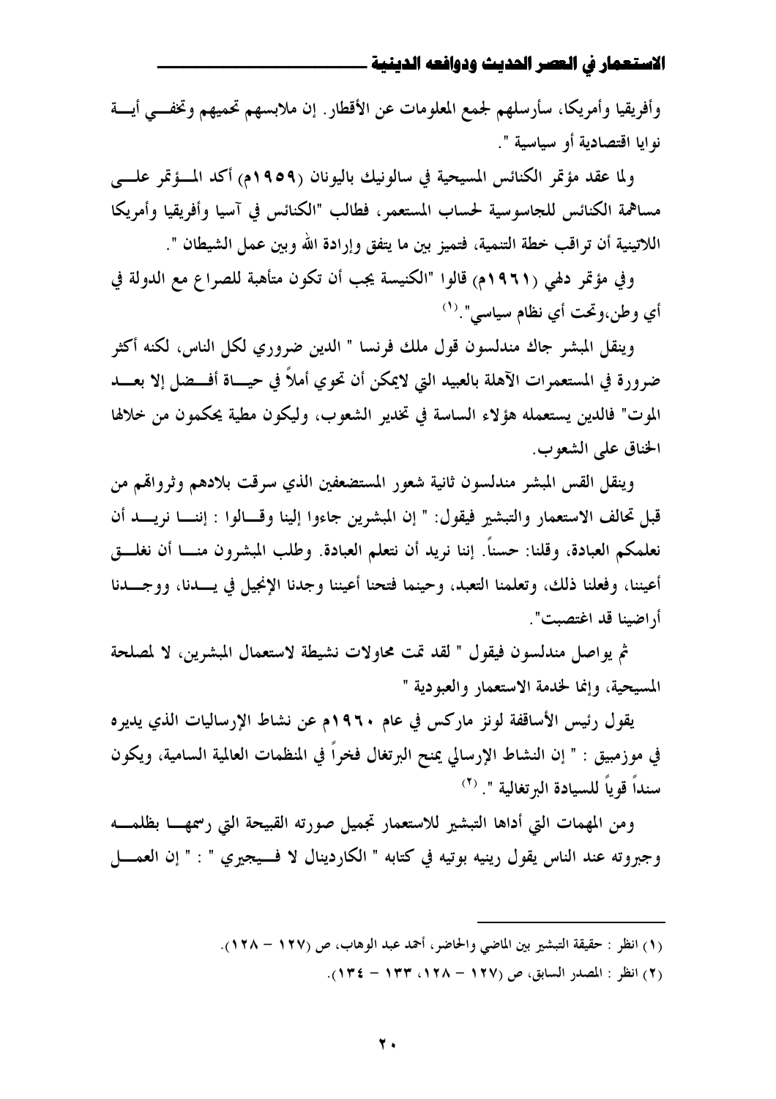وأفريقيا وأمريكا، سأرسلهم لجمع المعلومات عن الأقطار . إن ملابسهم تحميهم وتخفـــي أيــــة نوايا اقتصادية أو سياسية ".

ولما عقد مؤتمر الكنائس المسيحية في سالونيك باليونان (١٩٥٩م) أكد المسؤتمر علسي مساهمة الكنائس للجاسوسية لحساب المستعمر، فطالب "الكنائس في آسيا وأفريقيا وأمريكا اللاتينية أن تراقب خطة التنمية، فتميز بين ما يتفق وإرادة الله وبين عمل الشيطان ".

وفي مؤتمر دلهي (١٩٦١م) قالوا "الكنيسة يجب أن تكون متأهبة للصراع مع الدولة في أي وطن،وتحت أي نظام سياسي". (١)

وينقل المبشر جاك مندلسون قول ملك فرنسا " الدين ضروري لكل الناس، لكنه أكثر ضرورة في المستعمرات الآهلة بالعبيد التي لايمكن أن تحوي أملاً في حيــاة أفـــضل إلا بعـــد الموت" فالدين يستعمله هؤلاء الساسة في تخدير الشعوب، وليكون مطية يحكمون من خلالها الخناق على الشعوب.

وينقل القس المبشر مندلسون ثانية شعور المستضعفين الذي سرقت بلادهم وثرواقمم من قبل تحالف الاستعمار والتبشير فيقول: " إن المبشرين جاءوا إلينا وقسالوا : إننا نريسد أن نعلمكم العبادة، وقلنا: حسناً. إننا نريد أن نتعلم العبادة. وطلب المبشرون منـــا أن نغلـــق أعيننا، وفعلنا ذلك، وتعلمنا التعبد، وحينما فتحنا أعيننا وجدنا الإنجيل في يسدنا، ووجسدنا أراضينا قد اغتصبت".

ثم يواصل مندلسون فيقول " لقد تمت محاولات نشيطة لاستعمال المبشرين، لا لمصلحة المسيحية، وإنما لخدمة الاستعمار والعبودية "

يقول رئيس الأساقفة لونز ماركس في عام ١٩٦٠م عن نشاط الإرساليات الذي يديره في موزمبيق : " إن النشاط الإرسالي يمنح البرتغال فخراً في المنظمات العالمية السامية، ويكون سنداً قوياً للسيادة البرتغالية ". (٢)

ومن المهمات التي أداها التبشير للاستعمار تجميل صورته القبيحة التي رسمهـــا بظلمـــه وجبروته عند الناس يقول رينيه بوتيه في كتابه " الكاردينال لا فسيجيري " : " إن العمــــل

- (١) انظر : حقيقة التبشير بين الماضي والحاضر، أحمد عبد الوهاب، ص (١٢٧ ١٢٨).
	- (٢) انظر : المصدر السابق، ص (١٢٧ ١٣٨، ١٣٣ ١٣٤).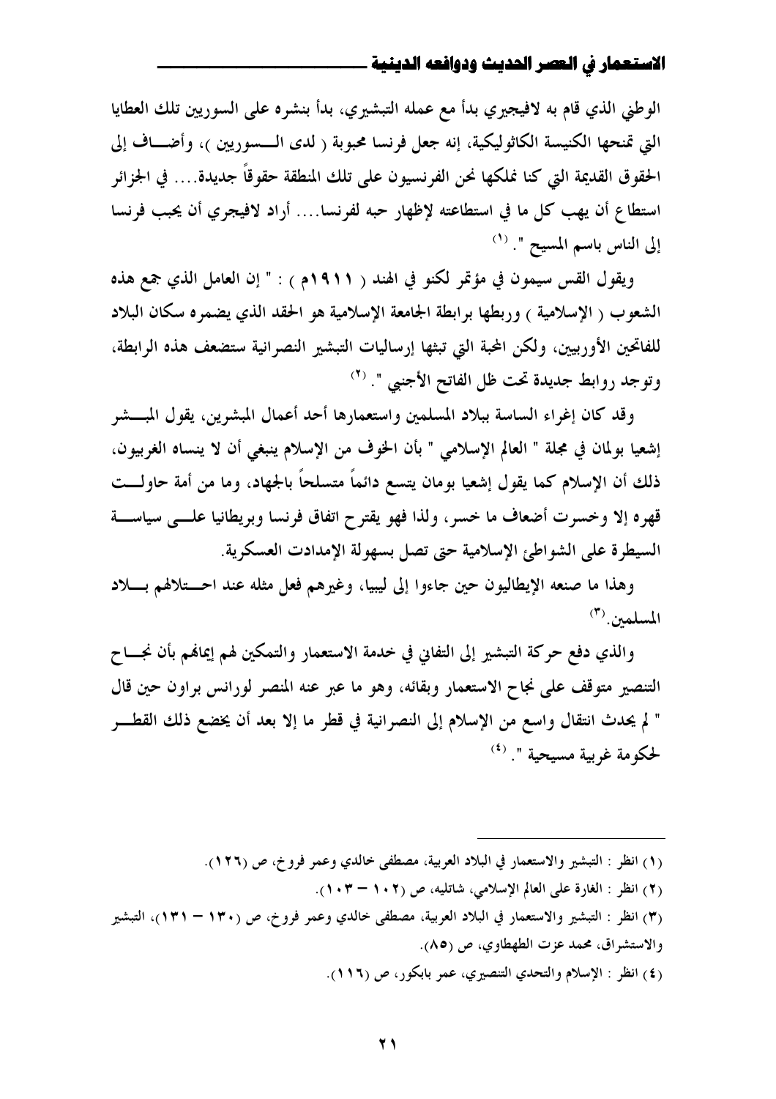الوطني الذي قام به لافيجيري بدأ مع عمله التبشيري، بدأ بنشره على السوريين تلك العطايا التي تمنحها الكنيسة الكاثوليكية، إنه جعل فرنسا محبوبة ( لدى الـــسوريين )، وأضـــاف إلى الحقو ق القديمة التي كنا نملكها نحن الفرنسيو ن على تلك المنطقة حقوقاً جديدة.... في الجزائر استطاع أن يهب كل ما في استطاعته لإظهار حبه لفرنسا…. أراد لافيجري أن يحبب فرنسا إلى الناس باسم المسيح ". (١)

ويقول القس سيمون في مؤتمر لكنو في الهند ( ١٩١١م ) : " إن العامل الذي جمع هذه الشعوب ( الإسلامية ) وربطها برابطة الجامعة الإسلامية هو الحقد الذي يضمره سكان البلاد للفاتحين الأوربيين، ولكن المحبة التي تبثها إرساليات التبشير النصرانية ستضعف هذه الرابطة، وتوجد روابط جديدة تحت ظل الفاتح الأجنبي ". <sup>(٢)</sup>

وقد كان إغراء الساسة ببلاد المسلمين واستعمارها أحد أعمال المبشرين، يقول المبـــشر إشعيا بولمان في مجلة " العالم الإسلامي " بأن الخوف من الإسلام ينبغي أن لا ينساه الغربيون، ذلك أن الإسلام كما يقول إشعيا بومان يتسع دائماً متسلحاً بالجهاد، وما من أمة حاولـــت قهره إلا وخسرت أضعاف ما خسر، ولذا فهو يقترح اتفاق فرنسا وبريطانيا علـــى سياســـة السيطرة على الشواطئ الإسلامية حتى تصل بسهولة الإمدادت العسكرية.

وهذا ما صنعه الإيطاليون حين جاءوا إلى ليبيا، وغيرهم فعل مثله عند احــتلالهم بـــلاد المسلمين. (٣)

والذي دفع حركة التبشير إلى التفايي في خدمة الاستعمار والتمكين لهم إيماهم بأن نجساح التنصير متوقف على نجاح الاستعمار وبقائه، وهو ما عبر عنه المنصر لورانس براون حين قال " لم يحدث انتقال واسع من الإسلام إلى النصرانية في قطرٍ ما إلا بعد أن يخضع ذلك القطـــر لحكومة غربية مسيحية ". <sup>(٤)</sup>

- (١) انظر : التبشير والاستعمار في البلاد العربية، مصطفى خالدي وعمر فروخ، ص (١٢٦).
	- (٢) انظر : الغارة على العالم الإسلامي، شاتليه، ص (١٠٢ ١٠٣).
- (٣) انظر : التبشير والاستعمار في البلاد العربية، مصطفى خالدي وعمر فروخ، ص (١٣٠ ١٣١)، التبشير والاستشراق، محمد عزت الطهطاوي، ص (٨٥).
	- (٤) انظر : الإسلام والتحدي التنصيري، عمر بابكور، ص (١١٦).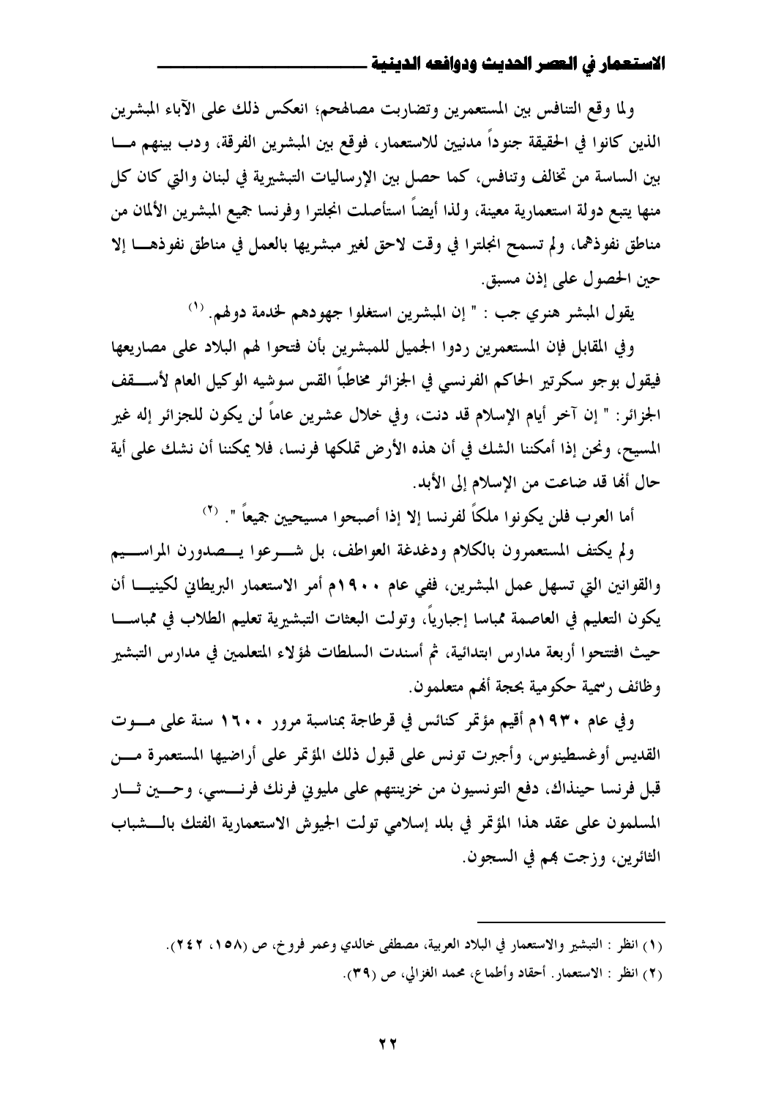ولما وقع التنافس بين المستعمرين وتضاربت مصالهحم؛ انعكس ذلك على الآباء المبشرين الذين كانوا في الحقيقة جنوداً مدنيين للاستعمار، فوقع بين المبشرين الفرقة، ودب بينهم مـــا بين الساسة من تخالف وتنافس، كما حصل بين الإرساليات التبشيرية في لبنان والتي كان كل منها يتبع دولة استعمارية معينة، ولذا أيضاً استأصلت انجلترا وفرنسا جميع المبشرين الألمان من مناطق نفوذهما، ولم تسمح انجلترا في وقت لاحق لغير مبشريها بالعمل في مناطق نفوذهـــا إلا حين الحصول على إذن مسبق.

يقول المبشر هنري جب : " إن المبشرين استغلوا جهودهم لخدمة دولهم. (١)

وفي المقابل فإن المستعمرين ردوا الجميل للمبشرين بأن فتحوا لهم البلاد على مصاريعها فيقول بوجو سكرتير الحاكم الفرنسي في الجزائر مخاطباً القس سوشيه الوكيل العام لأســــقف الجزائر: " إن آخر أيام الإسلام قد دنت، وفي خلال عشرين عاماً لن يكون للجزائر إله غير المسيح، ونحن إذا أمكننا الشك في أن هذه الأرض تملكها فرنسا، فلا يمكننا أن نشك على أية حال ألها قد ضاعت من الإسلام إلى الأبد.

أما العرب فلن يكونوا ملكًا لفرنسا إلا إذا أصبحوا مسيحيين جميعاً ". (٢)

ولم يكتف المستعمرون بالكلام ودغدغة العواطف، بل شـــرعوا يـــصدورن المراســـيم والقوانين التي تسهل عمل المبشرين، ففي عام ١٩٠٠م أمر الاستعمار البريطاني لكينيـــا أن يكون التعليم في العاصمة ممباسا إجبارياً، وتولت البعثات التبشيرية تعليم الطلاب في ممباســـا حيث افتتحوا أربعة مدارس ابتدائية، ثم أسندت السلطات لهؤلاء المتعلمين في مدارس التبشير وظائف رسمية حكومية بحجة أفمم متعلمون.

وفي عام ١٩٣٠م أُقيم مؤتمر كنائس في قرطاجة بمناسبة مرور ١٦٠٠ سنة على مــوت القديس أوغسطينوس، وأجبرت تونس على قبول ذلك المؤتمر على أراضيها المستعمرة مسن قبل فرنسا حينذاك، دفع التونسيون من خزينتهم على مليوني فرنك فرنسسي، وحسين ثـــار المسلمون على عقد هذا المؤتمر في بلد إسلامي تولت الجيوش الاستعمارية الفتك بالـــشباب الثائرين، وزجت بهم في السجون.

(٢) انظر : الاستعمار. أحقاد وأطماع، محمد الغزالي، ص (٣٩).

<sup>(</sup>١) انظر : التبشير والاستعمار في البلاد العربية، مصطفى خالدي وعمر فروخ، ص (١٥٨، ٢٤٢).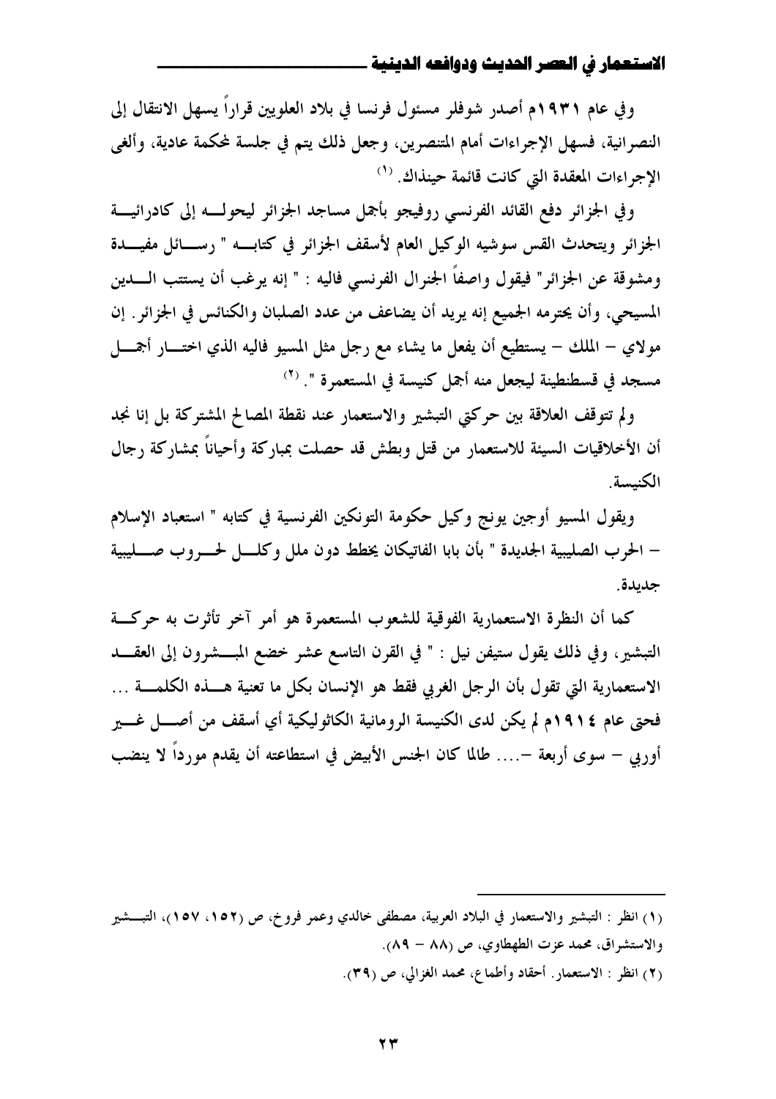و في عام ١٩٣١م أصدر شوفلر مسئول فرنسا في بلاد العلويين قراراً يسهل الانتقال إلى النصرانية، فسهل الإجراءات أمام المتنصرين، وجعل ذلك يتم في جلسة لمكمة عادية، وألغى الإجراءات المعقدة التي كانت قائمة حينذاك. <sup>(1)</sup>

وفي الجزائر دفع القائد الفرنسي روفيجو بأجمل مساجد الجزائر ليحولسه إلى كادرائيسة الجزائر ويتحدث القس سوشيه الوكيل العام لأسقف الجزائر في كتابـــه " رســـائل مفيــــدة ومشوقة عن الجزائر" فيقول واصفاً الجنرال الفرنسي فاليه : " إنه يرغب أن يستتب الــــدين المسيحي، وأن يحترمه الجميع إنه يريد أن يضاعف من عدد الصلبان والكنائس في الجزائر . إن مولاي – الملك – يستطيع أن يفعل ما يشاء مع رجل مثل المسيو فاليه الذي اختـــار أجمــــل مسجد في قسطنطينة ليجعل منه أجمل كنيسة في المستعمرة ". <sup>(٢)</sup>

ولم تتوقف العلاقة بين حركتي التبشير والاستعمار عند نقطة المصالح المشتركة بل إنا نجد أن الأخلاقيات السيئة للاستعمار من قتل وبطش قد حصلت بمباركة وأحياناً بمشاركة رجال الكنيسة

ويقول المسيو أوجين يونج وكيل حكومة التونكين الفرنسية في كتابه " استعباد الإسلام – الحرب الصليبية الجديدة " بأن بابا الفاتيكان يخطط دون ملل وكلــــل لحــــــروب صــــــليبية جديدة.

كما أن النظرة الاستعمارية الفوقية للشعوب المستعمرة هو أمر آخر تأثرت به حركتة التبشير، وفي ذلك يقول ستيفن نيل : " في القرن التاسع عشر خضع المبـــشرون إلى العقــــد الاستعمارية التي تقول بأن الرجل الغربي فقط هو الإنسان بكل ما تعنية هــــذه الكلمــــة … فحتى عام ١٩١٤م لم يكن لدى الكنيسة الرومانية الكاثوليكية أي أسقف من أصــــل غــــير أوربي – سوى أربعة –.... طالما كان الجنس الأبيض في استطاعته أن يقدم مورداً لا ينضب

(٢) انظر : الاستعمار. أحقاد وأطماع، محمد الغزالي، ص (٣٩).

<sup>(</sup>١) انظر : التبشير والاستعمار في البلاد العربية، مصطفى خالدي وعمر فروخ، ص (١٥٢، ١٥٧)، التبـــشير والاستشراق، محمد عزت الطهطاوي، ص (٨٨ – ٨٩).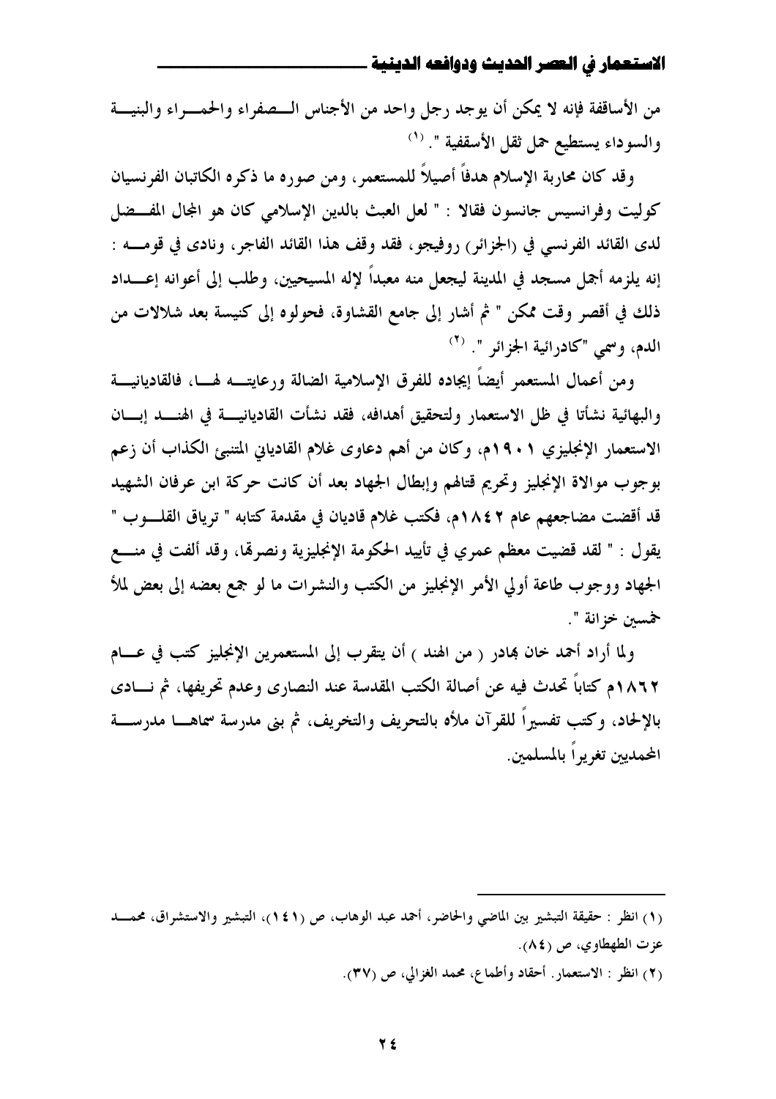من الأساقفة فإنه لا يمكن أن يوجد رجل واحد من الأجناس الــصفراء والحمــراء والبنيـــة والسوداء يستطيع حمل ثقل الأسقفية ". (`)

وقد كان محاربة الإسلام هدفاً أصيلاً للمستعمر ، ومن صوره ما ذكره الكاتبان الفرنسيان كوليت وفرانسيس جانسون فقالا : " لعل العبث بالدين الإسلامي كان هو المجال المفسضل لدى القائد الفرنسي في (الجزائر) روفيجو، فقد وقف هذا القائد الفاجر، ونادى في قومـــه : إنه يلزمه أجمل مسجد في المدينة ليجعل منه معبداً لإله المسيحيين، وطلب إلى أعوانه إعــــداد ذلك في أقصر وقت ممكن " ثم أشار إلى جامع القشاوة، فحولوه إلى كنيسة بعد شلالات من الدم، وسمي "كادرائية الجزائر ". <sup>(٢)</sup>

ومن أعمال المستعمر أيضاً إيجاده للفرق الإسلامية الضالة ورعايتــه لهـــا، فالقاديانيـــة والبهائية نشأتا في ظل الاستعمار ولتحقيق أهدافه، فقد نشأت القاديانيــــة في الهنــــد إبــــان الاستعمار الإنجليزي ٩٠١م، وكان من أهم دعاوى غلام القادياني المتنبئ الكذاب أن زعم بوجوب موالاة الإنجليز وتحريم قتالهم وإبطال الجهاد بعد أن كانت حركة ابن عرفان الشهيد قد أقضت مضاجعهم عام ٢ ١٨٤م، فكتب غلام قاديان في مقدمة كتابه " ترياق القلـــوب " يقول : " لقد قضيت معظم عمري في تأييد الحكومة الإنجليزية ونصرهًا، وقد ألفت في منــــع الجهاد ووجوب طاعة أولى الأمر الإنجليز من الكتب والنشرات ما لو جمع بعضه إلى بعض لملأ خمسىن خزانة ".

ولما أراد أحمد خان بمادر ( من الهند ) أن يتقرب إلى المستعمرين الإنجليز كتب في عـــام ١٨٦٢م كتاباً تحدث فيه عن أصالة الكتب المقدسة عند النصارى وعدم تحريفها، ثم نــــادى بالإلحاد، وكتب تفسيراً للقرآن ملأه بالتحريف والتخريف، ثم بني مدرسة سماهـــا مدرســـة المحمديين تغريراً بالمسلمين.

(٢) انظر : الاستعمار. أحقاد وأطماع، محمد الغزالي، ص (٣٧).

<sup>(</sup>١) انظر : حقيقة التبشير بين الماضي والحاضر، أحمد عبد الوهاب، ص (١٤١)، التبشير والاستشراق، محمـــد عزت الطهطاوي، ص (٨٤).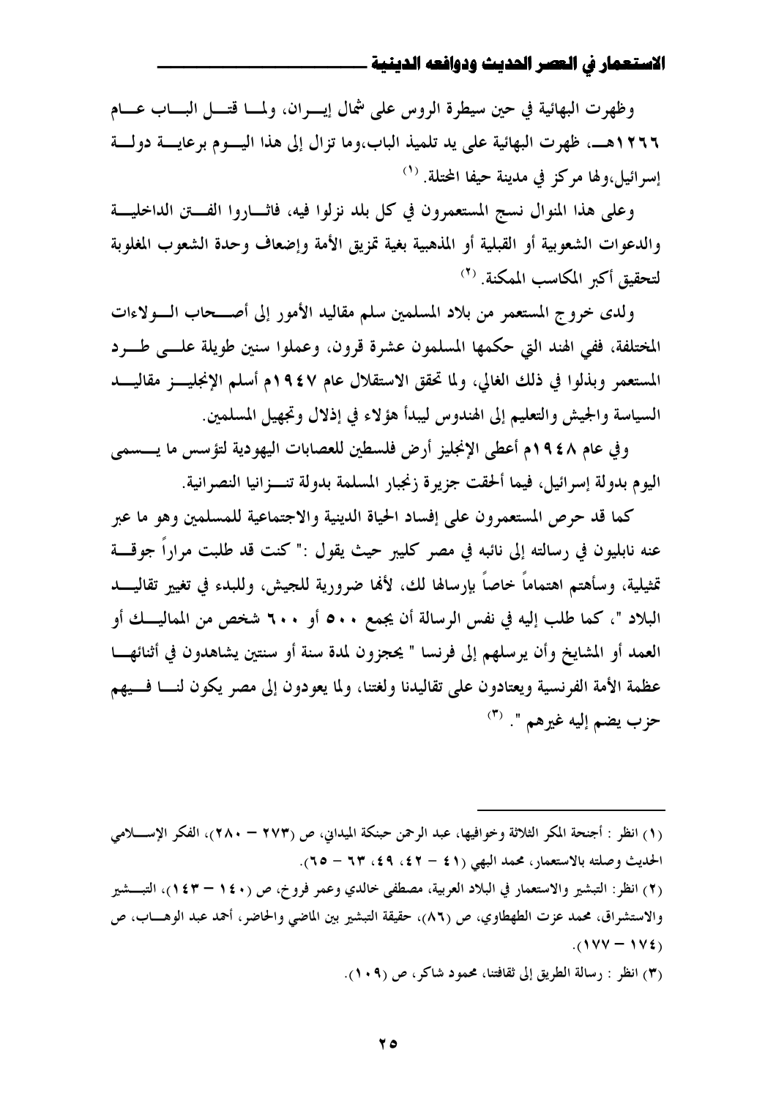وظهرت البهائية في حين سيطرة الروس على شمال إيسران، ولمسا قتسل البساب عسام ١٢٦٦هــــ. ظهرت البهائية على يد تلميذ الباب،وما تزال إلى هذا اليـــوم برعايــــة دولـــة إسرائيل،ولها مركز في مدينة حيفا المحتلة. <sup>(١)</sup>

وعلى هذا المنوال نسج المستعمرون في كل بلد نزلوا فيه، فاثـــاروا الفـــتن الداخليـــة والدعوات الشعوبية أو القبلية أو المذهبية بغية تمزيق الأمة وإضعاف وحدة الشعوب المغلوبة لتحقيق أكبر المكاسب الممكنة. <sup>(٢)</sup>

ولدى خروج المستعمر من بلاد المسلمين سلم مقاليد الأمور إلى أصـــحاب الـــولاءات المختلفة، ففي الهند التي حكمها المسلمون عشرة قرون، وعملوا سنين طويلة علـــي طـــرد المستعمر وبذلوا في ذلك الغالي، ولما تحقق الاستقلال عام ١٩٤٧م أسلم الإنجليــز مقاليـــد السياسة والجيش والتعليم إلى الهندوس ليبدأ هؤلاء في إذلال وتجهيل المسلمين.

وفي عام ١٩٤٨م أعطى الإنجليز أرض فلسطين للعصابات اليهودية لتؤسس ما يسسمى اليوم بدولة إسرائيل، فيما ألحقت جزيرة زنجبار المسلمة بدولة تنسزانيا النصرانية.

كما قد حرص المستعمرون على إفساد الحياة الدينية والاجتماعية للمسلمين وهو ما عبر عنه نابليون في رسالته إلى نائبه في مصر كليبر حيث يقول :" كنت قد طلبت مراراً جوقـــة تمثيلية، وسأهتم اهتماماً حاصاً بإرسالها لك، لألها ضرورية للجيش، وللبدء في تغيير تقاليـــد البلاد "، كما طلب إليه في نفس الرسالة أن يجمع ٥٠٠ أو ٦٠٠ شخص من المماليـــك أو العمد أو المشايخ وأن يرسلهم إلى فرنسا " يحجزون لمدة سنة أو سنتين يشاهدون في أثنائهــا عظمة الأمة الفرنسية ويعتادون على تقاليدنا ولغتنا، ولما يعودون إلى مصر يكون لنـــا فـــيهم  $\sigma^{(\mathbf{r})}$  - حزب يضم إليه غيرهم ".

(١) انظر : أجنحة المكر الثلاثة وخوافيها، عبد الرحمن حبنكة الميداني، ص (٢٧٣ – ٢٨٠)، الفكر الإســــلامي الحديث وصلته بالاستعمار، محمد البهي (٤١ – ٤٢، ٤٩، ٦٣ – ٢٥).

(٢) انظر: التبشير والاستعمار في البلاد العربية، مصطفى خالدي وعمر فروخ، ص (١٤٠ – ١٤٣)، التبـــشير والاستشراق، محمد عزت الطهطاوي، ص (٨٦)، حقيقة التبشير بين الماضي والحاضر، أحمد عبد الوهــاب، ص  $(1VV - 1V_{2})$ 

(٣) انظر : رسالة الطريق إلى ثقافتنا، محمود شاكر، ص (١٠٩).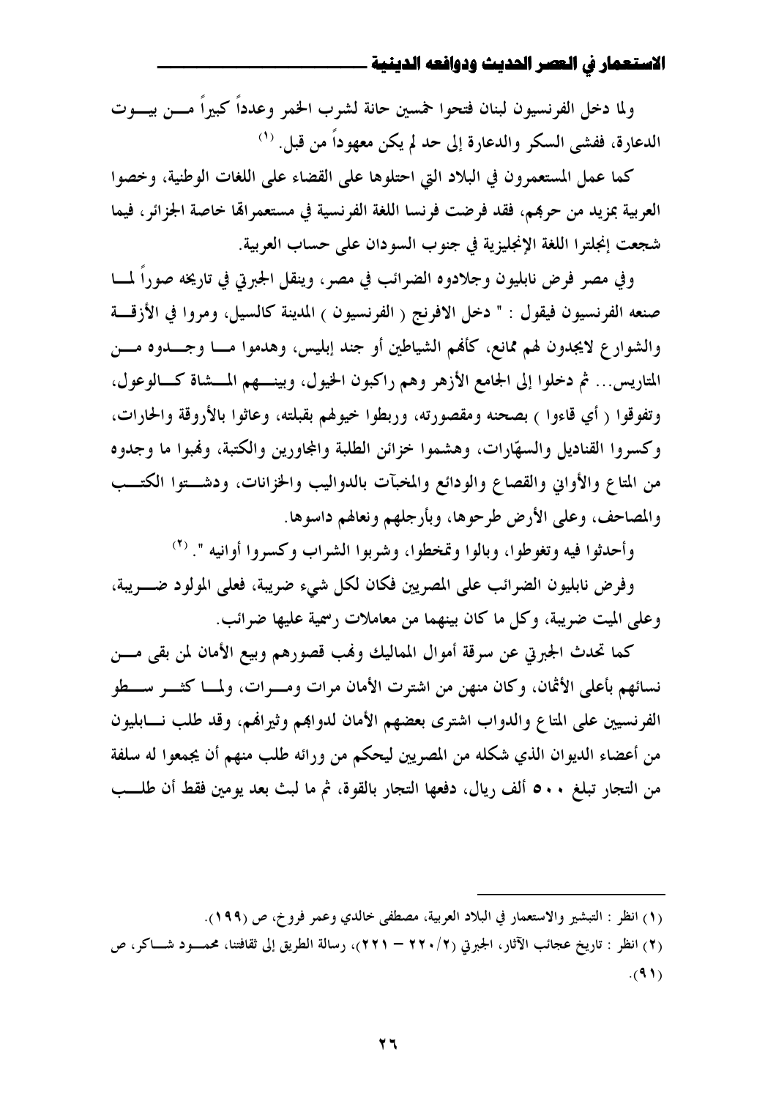ولما دخل الفرنسيون لبنان فتحوا حمسين حانة لشرب الخمر وعدداً كبيراً مـــن بيـــوت الدعارة، ففشي السكر والدعارة إلى حد لم يكن معهوداً من قبل. ''

كما عمل المستعمرون في البلاد التي احتلوها على القضاء على اللغات الوطنية، وخصوا العربية بمزيد من حرهم، فقد فرضت فرنسا اللغة الفرنسية في مستعمراها خاصة الجزائر، فيما شجعت إنجلترا اللغة الإنجليزية في جنوب السودان على حساب العربية.

وفي مصر فرض نابليون وجلادوه الضرائب في مصر، وينقل الجبرتي في تاريخه صوراً لمـــا صنعه الفرنسيون فيقول : " دخل الافرنج ( الفرنسيون ) المدينة كالسيل، ومروا في الأزقسة والشوارع لايجدون لهم ممانع، كأفمم الشياطين أو جند إبليس، وهدموا مـــا وجـــدوه مـــن المتاريس... ثم دخلوا إلى الجامع الأزهر وهم راكبون الخيول، وبينـــهم المـــشاة كـــالوعول، وتفوقوا ( أي قاءوا ) بصحنه ومقصورته، وربطوا خيولهم بقبلته، وعاثوا بالأروقة والحارات، وكسروا القناديل والسهّارات، وهشموا خزائن الطلبة والمجاورين والكتبة، وهُبوا ما وجدوه من المتاع والأواني والقصاع والودائع والمخبآت بالدواليب والخزانات، ودشـــتوا الكتـــب والمصاحف، وعلى الأرض طرحوها، وبأرجلهم ونعالهم داسوها.

وأحدثوا فيه وتغوطوا، وبالوا وتمخطوا، وشربوا الشراب وكسروا أوانيه ". (٢)

وفرض نابليون الضرائب على المصريين فكان لكل شيء ضريبة، فعلى المولود ضــــريبة، وعلى الميت ضريبة، وكل ما كان بينهما من معاملات رسمية عليها ضرائب.

كما تحدث الجبرتي عن سرقة أموال المماليك وفمب قصورهم وبيع الأمان لمن بقى مسن نسائهم بأعلى الأثمان، وكان منهن من اشترت الأمان مرات ومسرات، ولمسا كثـــر ســــطو الفرنسيين على المتاع والدواب اشترى بعضهم الأمان لدواهم وثيراهم، وقد طلب نسابليون من أعضاء الديوان الذي شكله من المصريين ليحكم من ورائه طلب منهم أن يجمعوا له سلفة من التجار تبلغ • • ٥ ألف ريال، دفعها التجار بالقوة، ثم ما لبث بعد يومين فقط أن طلـــب

(١) انظر : التبشير والاستعمار في البلاد العربية، مصطفى خالدي وعمر فروخ، ص (١٩٩).

(٢) انظر : تاريخ عجائب الآثار، الجبرتي (٢/ ٢٢٠ – ٢٢١)، رسالة الطريق إلى ثقافتنا، محمسود شـــاكر، ص  $(91)$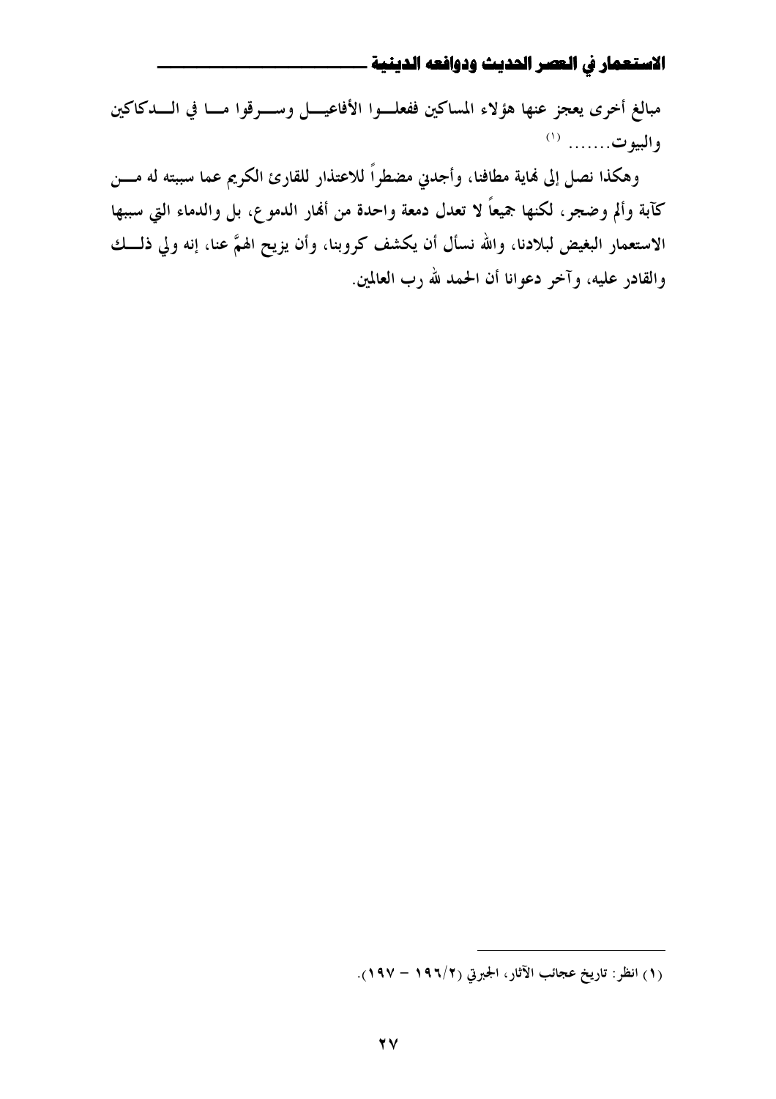مبالغ أخرى يعجز عنها هؤلاء المساكين ففعلـوا الأفاعيـــل وســــرقوا مـــا في الــــدكاكين والبيوت....... (١)

وهكذا نصل إلى فماية مطافنا، وأجدني مضطراً للاعتذار للقارئ الكريم عما سببته له مـــن كآبة وألم وضجر، لكنها جميعاً لا تعدل دمعة واحدة من ألهار الدموع، بل والدماء التي سببها الاستعمار البغيض لبلادنا، والله نسأل أن يكشف كروبنا، وأن يزيح الهمَّ عنا، إنه ولي ذلـــك والقادر عليه، وآخر دعوانا أن الحمد لله رب العالمين.

<sup>(</sup>١) انظر: تاريخ عجائب الآثار، الجبرتي (١٩٦/٢ – ١٩٧).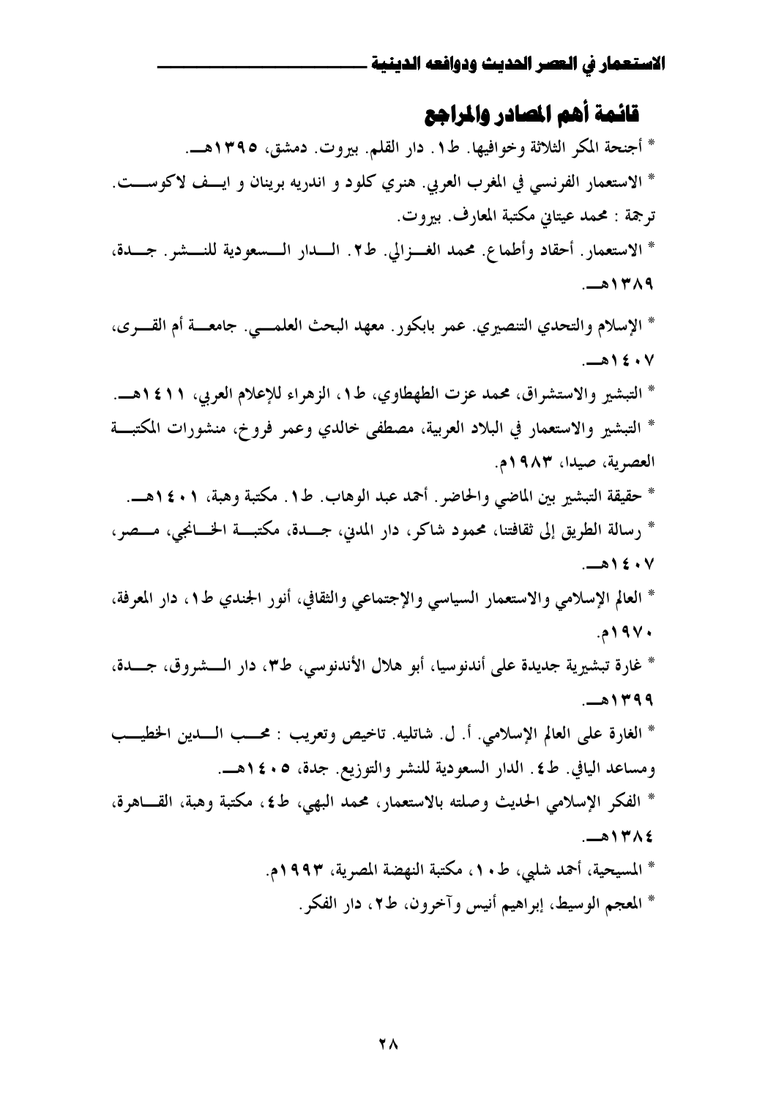# قائمة أهم المسادر والمراجع

\* أجنحة المكر الثلاثة وخوافيها. ط١. دار القلم. بيروت. دمشق، ١٣٩٥هــ. \* الاستعمار الفرنسي في المغرب العربي. هنري كلود و اندريه برينان و ايــف لاكوســـت. ترجمة : محمد عيتانى مكتبة المعارف. بيروت. \* الاستعمار . أحقاد وأطماع . محمد الغسزالي. ط٢ . السدار السسعودية للنسشر . جسدة، ١٣٨٩هـ.

\* الإسلام والتحدي التنصيري. عمر بابكور. معهد البحث العلمـــي. جامعــــة أم القــــرى،  $-15.4$ \* التبشير والاستشراق، محمد عزت الطهطاوي، ط١، الزهراء للإعلام العربي، ١٤١١هــ. \* التبشير والاستعمار في البلاد العربية، مصطفى خالدي وعمر فروخ، منشورات المكتبة العصرية، صيدًا، ٩٨٣م. \* حقيقة التبشير بين الماضي والحاضر . أحمد عبد الوهاب. ط1 . مكتبة وهبة، ١ • ٤ ١ هــ. \* رسالة الطريق إلى ثقافتنا، محمود شاكر، دار المدين، جمــدة، مكتبـــة الخـــانجي، مـــصر،  $-215. V$ \* العالم الإسلامي والاستعمار السياسي والإجتماعي والثقافي، أنور الجندي ط1، دار المعرفة، ۱۹۷۰. \* غارة تبشيرية جديدة على أندنوسيا، أبو هلال الأندنوسي، ط٣، دار الـــشروق، جـــدة، ۰- ۱۳۹۹ \* الغارة على العالم الإسلامي. أ. ل. شاتليه. تاخيص وتعريب : محــب الـــدين الخطيـــب ومساعد اليافي. ط٤. الدار السعودية للنشر والتوزيع. جدة، ٥ . ٤ ١هــ.

\* الفكر الإسلامي الحديث وصلته بالاستعمار، محمد البهي، ط٤، مكتبة وهبة، القــاهرة،  $-214A\xi$ 

> \* المسيحية، أحمد شلبي، ط • ١، مكتبة النهضة المصرية، ١٩٩٣م. \* المعجم الوسيط، إبراهيم أنيس وآخرون، ط٢، دار الفكر.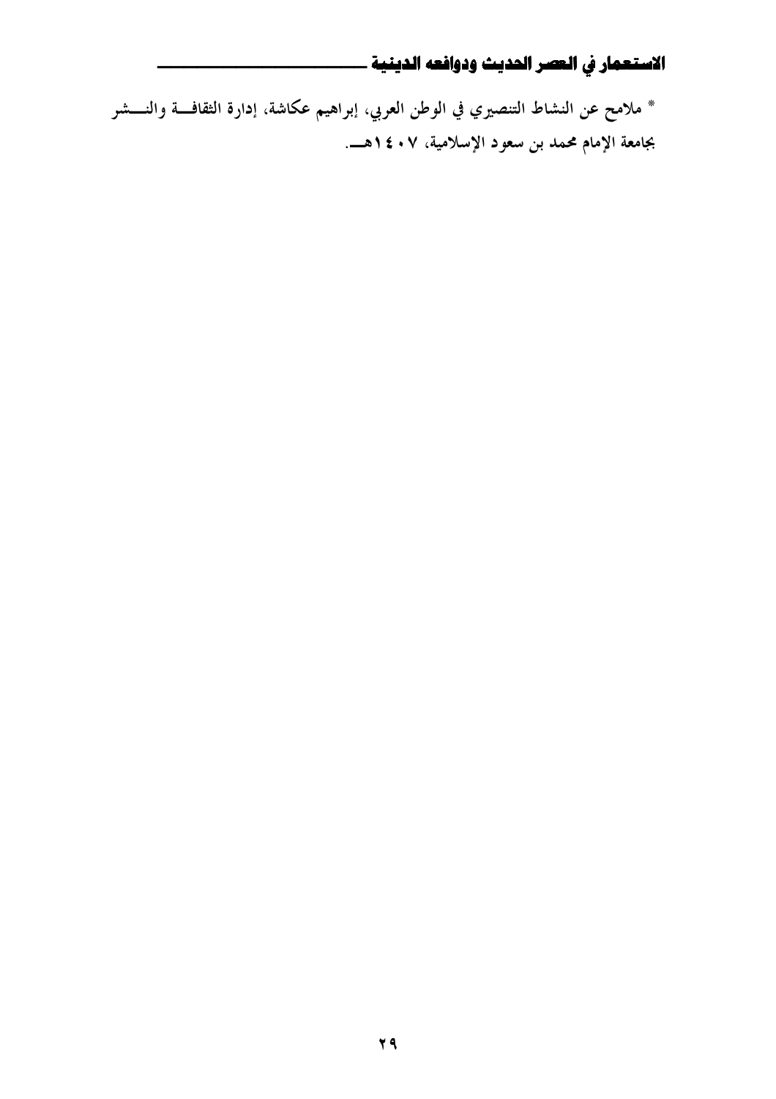\* ملامح عن النشاط التنصيري في الوطن العربي، إبراهيم عكاشة، إدارة الثقافة والنــــشر بجامعة الإمام محمد بن سعود الإسلامية، ٧ . ٤ ١هـــ.